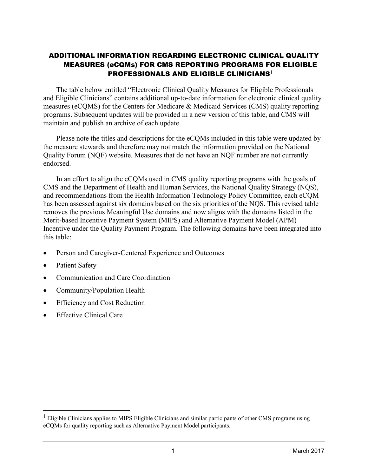## ADDITIONAL INFORMATION REGARDING ELECTRONIC CLINICAL QUALITY MEASURES (eCQMs) FOR CMS REPORTING PROGRAMS FOR ELIGIBLE PROFESSIONALS AND ELIGIBLE CLINICIANS<sup>[1](#page-0-0)</sup>

The table below entitled "Electronic Clinical Quality Measures for Eligible Professionals and Eligible Clinicians" contains additional up-to-date information for electronic clinical quality measures (eCQMS) for the Centers for Medicare & Medicaid Services (CMS) quality reporting programs. Subsequent updates will be provided in a new version of this table, and CMS will maintain and publish an archive of each update.

Please note the titles and descriptions for the eCQMs included in this table were updated by the measure stewards and therefore may not match the information provided on the National Quality Forum (NQF) website. Measures that do not have an NQF number are not currently endorsed.

In an effort to align the eCQMs used in CMS quality reporting programs with the goals of CMS and the Department of Health and Human Services, the National Quality Strategy (NQS), and recommendations from the Health Information Technology Policy Committee, each eCQM has been assessed against six domains based on the six priorities of the NQS. This revised table removes the previous Meaningful Use domains and now aligns with the domains listed in the Merit-based Incentive Payment System (MIPS) and Alternative Payment Model (APM) Incentive under the Quality Payment Program. The following domains have been integrated into this table:

- Person and Caregiver-Centered Experience and Outcomes
- Patient Safety

 $\overline{a}$ 

- Communication and Care Coordination
- Community/Population Health
- Efficiency and Cost Reduction
- Effective Clinical Care

<span id="page-0-0"></span><sup>&</sup>lt;sup>1</sup> Eligible Clinicians applies to MIPS Eligible Clinicians and similar participants of other CMS programs using eCQMs for quality reporting such as Alternative Payment Model participants.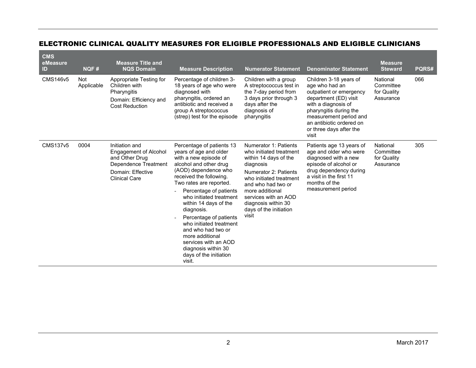## ELECTRONIC CLINICAL QUALITY MEASURES FOR ELIGIBLE PROFESSIONALS AND ELIGIBLE CLINICIANS

| <b>CMS</b><br>eMeasure<br>ID | NQF#              | <b>Measure Title and</b><br><b>NQS Domain</b>                                                                                         | <b>Measure Description</b>                                                                                                                                                                                                                                                                                                                                                                                                                                        | <b>Numerator Statement</b>                                                                                                                                                                                                                                            | <b>Denominator Statement</b>                                                                                                                                                                                                            | <b>Measure</b><br><b>Steward</b>                  | PQRS# |
|------------------------------|-------------------|---------------------------------------------------------------------------------------------------------------------------------------|-------------------------------------------------------------------------------------------------------------------------------------------------------------------------------------------------------------------------------------------------------------------------------------------------------------------------------------------------------------------------------------------------------------------------------------------------------------------|-----------------------------------------------------------------------------------------------------------------------------------------------------------------------------------------------------------------------------------------------------------------------|-----------------------------------------------------------------------------------------------------------------------------------------------------------------------------------------------------------------------------------------|---------------------------------------------------|-------|
| <b>CMS146v5</b>              | Not<br>Applicable | Appropriate Testing for<br>Children with<br>Pharyngitis<br>Domain: Efficiency and<br><b>Cost Reduction</b>                            | Percentage of children 3-<br>18 years of age who were<br>diagnosed with<br>pharyngitis, ordered an<br>antibiotic and received a<br>group A streptococcus<br>(strep) test for the episode                                                                                                                                                                                                                                                                          | Children with a group<br>A streptococcus test in<br>the 7-day period from<br>3 days prior through 3<br>days after the<br>diagnosis of<br>pharyngitis                                                                                                                  | Children 3-18 years of<br>age who had an<br>outpatient or emergency<br>department (ED) visit<br>with a diagnosis of<br>pharyngitis during the<br>measurement period and<br>an antibiotic ordered on<br>or three days after the<br>visit | National<br>Committee<br>for Quality<br>Assurance | 066   |
| <b>CMS137v5</b>              | 0004              | Initiation and<br><b>Engagement of Alcohol</b><br>and Other Drug<br>Dependence Treatment<br>Domain: Effective<br><b>Clinical Care</b> | Percentage of patients 13<br>years of age and older<br>with a new episode of<br>alcohol and other drug<br>(AOD) dependence who<br>received the following.<br>Two rates are reported.<br>Percentage of patients<br>who initiated treatment<br>within 14 days of the<br>diagnosis.<br>Percentage of patients<br>who initiated treatment<br>and who had two or<br>more additional<br>services with an AOD<br>diagnosis within 30<br>days of the initiation<br>visit. | Numerator 1: Patients<br>who initiated treatment<br>within 14 days of the<br>diagnosis<br>Numerator 2: Patients<br>who initiated treatment<br>and who had two or<br>more additional<br>services with an AOD<br>diagnosis within 30<br>days of the initiation<br>visit | Patients age 13 years of<br>age and older who were<br>diagnosed with a new<br>episode of alcohol or<br>drug dependency during<br>a visit in the first 11<br>months of the<br>measurement period                                         | National<br>Committee<br>for Quality<br>Assurance | 305   |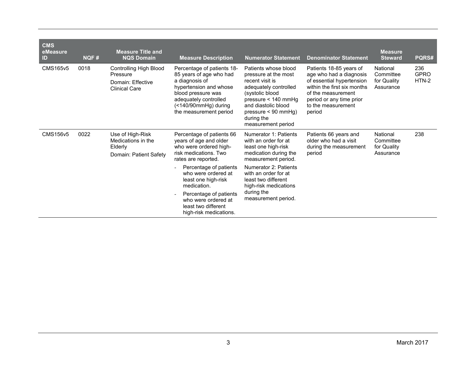| <b>CMS</b><br>eMeasure<br>ID | NQF# | <b>Measure Title and</b><br><b>NQS Domain</b>                                          | <b>Measure Description</b>                                                                                                                                                                         | <b>Numerator Statement</b>                                                                                                                                                                                                | <b>Denominator Statement</b>                                                                                                                                                                     | <b>Measure</b><br><b>Steward</b>                  | <b>PQRS#</b>                |
|------------------------------|------|----------------------------------------------------------------------------------------|----------------------------------------------------------------------------------------------------------------------------------------------------------------------------------------------------|---------------------------------------------------------------------------------------------------------------------------------------------------------------------------------------------------------------------------|--------------------------------------------------------------------------------------------------------------------------------------------------------------------------------------------------|---------------------------------------------------|-----------------------------|
| <b>CMS165v5</b>              | 0018 | <b>Controlling High Blood</b><br>Pressure<br>Domain: Effective<br><b>Clinical Care</b> | Percentage of patients 18-<br>85 years of age who had<br>a diagnosis of<br>hypertension and whose<br>blood pressure was<br>adequately controlled<br>(<140/90mmHg) during<br>the measurement period | Patients whose blood<br>pressure at the most<br>recent visit is<br>adequately controlled<br>(systolic blood<br>pressure $<$ 140 mmHg<br>and diastolic blood<br>$pressure < 90 mmHg$ )<br>during the<br>measurement period | Patients 18-85 years of<br>age who had a diagnosis<br>of essential hypertension<br>within the first six months<br>of the measurement<br>period or any time prior<br>to the measurement<br>period | National<br>Committee<br>for Quality<br>Assurance | 236<br><b>GPRO</b><br>HTN-2 |
| CMS156v5                     | 0022 | Use of High-Risk<br>Medications in the<br>Elderly<br>Domain: Patient Safety            | Percentage of patients 66<br>years of age and older<br>who were ordered high-<br>risk medications. Two<br>rates are reported.                                                                      | Numerator 1: Patients<br>with an order for at<br>least one high-risk<br>medication during the<br>measurement period.                                                                                                      | Patients 66 years and<br>older who had a visit<br>during the measurement<br>period                                                                                                               | National<br>Committee<br>for Quality<br>Assurance | 238                         |
|                              |      |                                                                                        | Percentage of patients<br>who were ordered at<br>least one high-risk<br>medication.                                                                                                                | Numerator 2: Patients<br>with an order for at<br>least two different<br>high-risk medications                                                                                                                             |                                                                                                                                                                                                  |                                                   |                             |
|                              |      |                                                                                        | Percentage of patients<br>who were ordered at<br>least two different<br>high-risk medications.                                                                                                     | during the<br>measurement period.                                                                                                                                                                                         |                                                                                                                                                                                                  |                                                   |                             |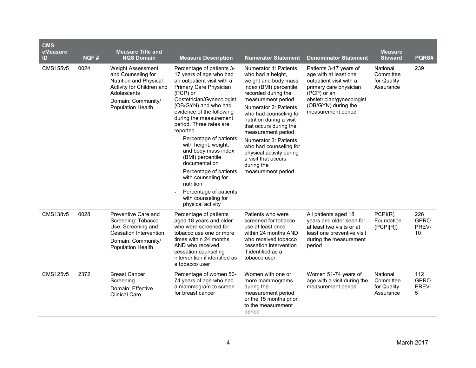| <b>CMS</b><br>eMeasure<br>ID | NQF# | <b>Measure Title and</b><br><b>NQS Domain</b>                                                                                                                   | <b>Measure Description</b>                                                                                                                                                                                                                                                                                                                                                                                                                                                                                                     | <b>Numerator Statement</b>                                                                                                                                                                                                                                                                                                                                                                                         | <b>Denominator Statement</b>                                                                                                                                                                  | <b>Measure</b><br><b>Steward</b>                  | PQRS#                             |
|------------------------------|------|-----------------------------------------------------------------------------------------------------------------------------------------------------------------|--------------------------------------------------------------------------------------------------------------------------------------------------------------------------------------------------------------------------------------------------------------------------------------------------------------------------------------------------------------------------------------------------------------------------------------------------------------------------------------------------------------------------------|--------------------------------------------------------------------------------------------------------------------------------------------------------------------------------------------------------------------------------------------------------------------------------------------------------------------------------------------------------------------------------------------------------------------|-----------------------------------------------------------------------------------------------------------------------------------------------------------------------------------------------|---------------------------------------------------|-----------------------------------|
| <b>CMS155v5</b>              | 0024 | <b>Weight Assessment</b><br>and Counseling for<br>Nutrition and Physical<br>Activity for Children and<br>Adolescents<br>Domain: Community/<br>Population Health | Percentage of patients 3-<br>17 years of age who had<br>an outpatient visit with a<br>Primary Care Physician<br>(PCP) or<br>Obstetrician/Gynecologist<br>(OB/GYN) and who had<br>evidence of the following<br>during the measurement<br>period. Three rates are<br>reported.<br>Percentage of patients<br>with height, weight,<br>and body mass index<br>(BMI) percentile<br>documentation<br>Percentage of patients<br>with counseling for<br>nutrition<br>Percentage of patients<br>with counseling for<br>physical activity | Numerator 1: Patients<br>who had a height,<br>weight and body mass<br>index (BMI) percentile<br>recorded during the<br>measurement period<br>Numerator 2: Patients<br>who had counseling for<br>nutrition during a visit<br>that occurs during the<br>measurement period<br>Numerator 3: Patients<br>who had counseling for<br>physical activity during<br>a visit that occurs<br>during the<br>measurement period | Patients 3-17 years of<br>age with at least one<br>outpatient visit with a<br>primary care physician<br>(PCP) or an<br>obstetrician/gynecologist<br>(OB/GYN) during the<br>measurement period | National<br>Committee<br>for Quality<br>Assurance | 239                               |
| <b>CMS138v5</b>              | 0028 | Preventive Care and<br>Screening: Tobacco<br>Use: Screening and<br>Cessation Intervention<br>Domain: Community/<br><b>Population Health</b>                     | Percentage of patients<br>aged 18 years and older<br>who were screened for<br>tobacco use one or more<br>times within 24 months<br>AND who received<br>cessation counseling<br>intervention if identified as<br>a tobacco user                                                                                                                                                                                                                                                                                                 | Patients who were<br>screened for tobacco<br>use at least once<br>within 24 months AND<br>who received tobacco<br>cessation intervention<br>if identified as a<br>tobacco user                                                                                                                                                                                                                                     | All patients aged 18<br>years and older seen for<br>at least two visits or at<br>least one preventive visit<br>during the measurement<br>period                                               | PCPI(R)<br>Foundation<br>(PCPI[R])                | 226<br><b>GPRO</b><br>PREV-<br>10 |
| <b>CMS125v5</b>              | 2372 | <b>Breast Cancer</b><br>Screening<br>Domain: Effective<br><b>Clinical Care</b>                                                                                  | Percentage of women 50-<br>74 years of age who had<br>a mammogram to screen<br>for breast cancer                                                                                                                                                                                                                                                                                                                                                                                                                               | Women with one or<br>more mammograms<br>during the<br>measurement period<br>or the 15 months prior<br>to the measurement<br>period                                                                                                                                                                                                                                                                                 | Women 51-74 years of<br>age with a visit during the<br>measurement period                                                                                                                     | National<br>Committee<br>for Quality<br>Assurance | 112<br><b>GPRO</b><br>PREV-<br>5  |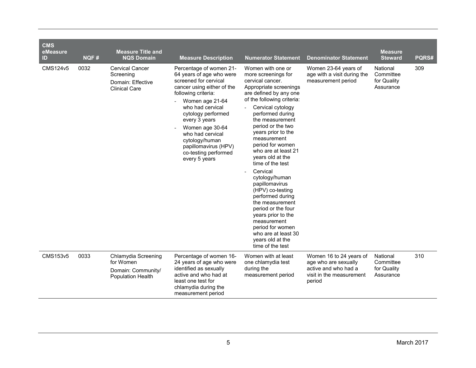| <b>CMS</b><br>eMeasure<br>ID | NQF# | <b>Measure Title and</b><br><b>NQS Domain</b>                                      | <b>Measure Description</b>                                                                                                                                                                                                                                                                                                                | <b>Numerator Statement</b>                                                                                                                                                                                                                                                                                                                                                                                                                                                                                                                                                                                       | <b>Denominator Statement</b>                                                                                  | <b>Measure</b><br><b>Steward</b>                  | <b>PQRS#</b> |
|------------------------------|------|------------------------------------------------------------------------------------|-------------------------------------------------------------------------------------------------------------------------------------------------------------------------------------------------------------------------------------------------------------------------------------------------------------------------------------------|------------------------------------------------------------------------------------------------------------------------------------------------------------------------------------------------------------------------------------------------------------------------------------------------------------------------------------------------------------------------------------------------------------------------------------------------------------------------------------------------------------------------------------------------------------------------------------------------------------------|---------------------------------------------------------------------------------------------------------------|---------------------------------------------------|--------------|
| CMS124v5                     | 0032 | <b>Cervical Cancer</b><br>Screening<br>Domain: Effective<br><b>Clinical Care</b>   | Percentage of women 21-<br>64 years of age who were<br>screened for cervical<br>cancer using either of the<br>following criteria:<br>Women age 21-64<br>who had cervical<br>cytology performed<br>every 3 years<br>Women age 30-64<br>who had cervical<br>cytology/human<br>papillomavirus (HPV)<br>co-testing performed<br>every 5 years | Women with one or<br>more screenings for<br>cervical cancer.<br>Appropriate screenings<br>are defined by any one<br>of the following criteria:<br>Cervical cytology<br>performed during<br>the measurement<br>period or the two<br>years prior to the<br>measurement<br>period for women<br>who are at least 21<br>years old at the<br>time of the test<br>Cervical<br>cytology/human<br>papillomavirus<br>(HPV) co-testing<br>performed during<br>the measurement<br>period or the four<br>years prior to the<br>measurement<br>period for women<br>who are at least 30<br>years old at the<br>time of the test | Women 23-64 years of<br>age with a visit during the<br>measurement period                                     | National<br>Committee<br>for Quality<br>Assurance | 309          |
| CMS153v5                     | 0033 | Chlamydia Screening<br>for Women<br>Domain: Community/<br><b>Population Health</b> | Percentage of women 16-<br>24 years of age who were<br>identified as sexually<br>active and who had at<br>least one test for<br>chlamydia during the<br>measurement period                                                                                                                                                                | Women with at least<br>one chlamydia test<br>during the<br>measurement period                                                                                                                                                                                                                                                                                                                                                                                                                                                                                                                                    | Women 16 to 24 years of<br>age who are sexually<br>active and who had a<br>visit in the measurement<br>period | National<br>Committee<br>for Quality<br>Assurance | 310          |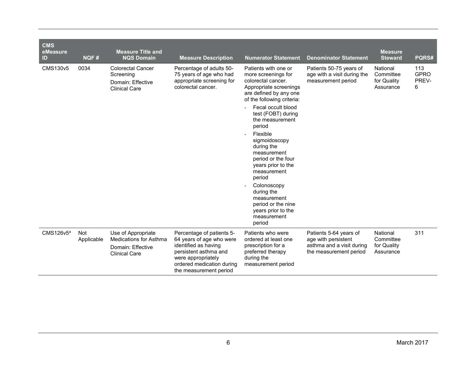| <b>CMS</b><br>eMeasure<br>ID | NQF#              | <b>Measure Title and</b><br><b>NQS Domain</b>                                                    | <b>Measure Description</b>                                                                                                                                                          | <b>Numerator Statement</b>                                                                                                                                                                                                                                                                                                         | <b>Denominator Statement</b>                                                                         | <b>Measure</b><br><b>Steward</b>                  | PQRS#                            |
|------------------------------|-------------------|--------------------------------------------------------------------------------------------------|-------------------------------------------------------------------------------------------------------------------------------------------------------------------------------------|------------------------------------------------------------------------------------------------------------------------------------------------------------------------------------------------------------------------------------------------------------------------------------------------------------------------------------|------------------------------------------------------------------------------------------------------|---------------------------------------------------|----------------------------------|
| <b>CMS130v5</b>              | 0034              | <b>Colorectal Cancer</b><br>Screening<br>Domain: Effective<br><b>Clinical Care</b>               | Percentage of adults 50-<br>75 years of age who had<br>appropriate screening for<br>colorectal cancer.                                                                              | Patients with one or<br>more screenings for<br>colorectal cancer.<br>Appropriate screenings<br>are defined by any one<br>of the following criteria:<br>Fecal occult blood<br>test (FOBT) during<br>the measurement<br>period<br>Flexible<br>sigmoidoscopy<br>during the<br>measurement<br>period or the four<br>years prior to the | Patients 50-75 years of<br>age with a visit during the<br>measurement period                         | National<br>Committee<br>for Quality<br>Assurance | 113<br><b>GPRO</b><br>PREV-<br>6 |
|                              |                   |                                                                                                  |                                                                                                                                                                                     | measurement<br>period<br>Colonoscopy<br>during the<br>measurement<br>period or the nine<br>years prior to the<br>measurement<br>period                                                                                                                                                                                             |                                                                                                      |                                                   |                                  |
| $CMS126v5^a$                 | Not<br>Applicable | Use of Appropriate<br><b>Medications for Asthma</b><br>Domain: Effective<br><b>Clinical Care</b> | Percentage of patients 5-<br>64 years of age who were<br>identified as having<br>persistent asthma and<br>were appropriately<br>ordered medication during<br>the measurement period | Patients who were<br>ordered at least one<br>prescription for a<br>preferred therapy<br>during the<br>measurement period                                                                                                                                                                                                           | Patients 5-64 years of<br>age with persistent<br>asthma and a visit during<br>the measurement period | National<br>Committee<br>for Quality<br>Assurance | 311                              |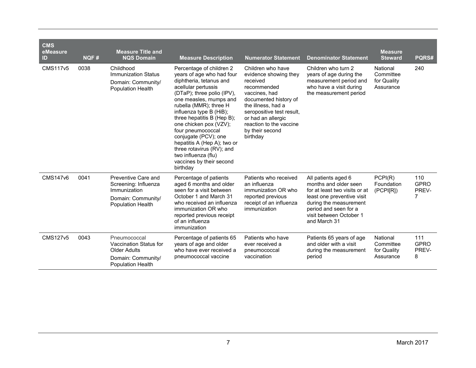| <b>CMS</b><br>eMeasure<br>ID | NQF# | <b>Measure Title and</b><br><b>NQS Domain</b>                                                                 | <b>Measure Description</b>                                                                                                                                                                                                                                                                                                                                                                                                                           | <b>Numerator Statement</b>                                                                                                                                                                                                                         | <b>Denominator Statement</b>                                                                                                                                                                              | <b>Measure</b><br><b>Steward</b>                  | PQRS#                            |
|------------------------------|------|---------------------------------------------------------------------------------------------------------------|------------------------------------------------------------------------------------------------------------------------------------------------------------------------------------------------------------------------------------------------------------------------------------------------------------------------------------------------------------------------------------------------------------------------------------------------------|----------------------------------------------------------------------------------------------------------------------------------------------------------------------------------------------------------------------------------------------------|-----------------------------------------------------------------------------------------------------------------------------------------------------------------------------------------------------------|---------------------------------------------------|----------------------------------|
| <b>CMS117v5</b>              | 0038 | Childhood<br><b>Immunization Status</b><br>Domain: Community/<br><b>Population Health</b>                     | Percentage of children 2<br>years of age who had four<br>diphtheria, tetanus and<br>acellular pertussis<br>(DTaP); three polio (IPV),<br>one measles, mumps and<br>rubella (MMR); three H<br>influenza type B (HiB);<br>three hepatitis B (Hep B);<br>one chicken pox (VZV);<br>four pneumococcal<br>conjugate (PCV); one<br>hepatitis A (Hep A); two or<br>three rotavirus (RV); and<br>two influenza (flu)<br>vaccines by their second<br>birthday | Children who have<br>evidence showing they<br>received<br>recommended<br>vaccines, had<br>documented history of<br>the illness, had a<br>seropositive test result,<br>or had an allergic<br>reaction to the vaccine<br>by their second<br>birthday | Children who turn 2<br>years of age during the<br>measurement period and<br>who have a visit during<br>the measurement period                                                                             | National<br>Committee<br>for Quality<br>Assurance | 240                              |
| <b>CMS147v6</b>              | 0041 | Preventive Care and<br>Screening: Influenza<br>Immunization<br>Domain: Community/<br><b>Population Health</b> | Percentage of patients<br>aged 6 months and older<br>seen for a visit between<br>October 1 and March 31<br>who received an influenza<br>immunization OR who<br>reported previous receipt<br>of an influenza<br>immunization                                                                                                                                                                                                                          | Patients who received<br>an influenza<br>immunization OR who<br>reported previous<br>receipt of an influenza<br>immunization                                                                                                                       | All patients aged 6<br>months and older seen<br>for at least two visits or at<br>least one preventive visit<br>during the measurement<br>period and seen for a<br>visit between October 1<br>and March 31 | PCPI(R)<br>Foundation<br>(PCPI[R])                | 110<br><b>GPRO</b><br>PREV-<br>7 |
| <b>CMS127v5</b>              | 0043 | Pneumococcal<br>Vaccination Status for<br><b>Older Adults</b><br>Domain: Community/<br>Population Health      | Percentage of patients 65<br>years of age and older<br>who have ever received a<br>pneumococcal vaccine                                                                                                                                                                                                                                                                                                                                              | Patients who have<br>ever received a<br>pneumococcal<br>vaccination                                                                                                                                                                                | Patients 65 years of age<br>and older with a visit<br>during the measurement<br>period                                                                                                                    | National<br>Committee<br>for Quality<br>Assurance | 111<br><b>GPRO</b><br>PREV-<br>8 |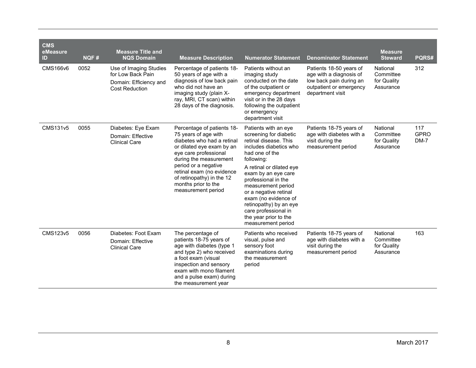| <b>CMS</b><br>eMeasure<br>ID | NQF# | <b>Measure Title and</b><br><b>NQS Domain</b>                                                  | <b>Measure Description</b>                                                                                                                                                                                                                                                                      | <b>Numerator Statement</b>                                                                                                                                                                                                                                                                                                                                                          | <b>Denominator Statement</b>                                                                                                 | <b>Measure</b><br><b>Steward</b>                  | PQRS#                      |
|------------------------------|------|------------------------------------------------------------------------------------------------|-------------------------------------------------------------------------------------------------------------------------------------------------------------------------------------------------------------------------------------------------------------------------------------------------|-------------------------------------------------------------------------------------------------------------------------------------------------------------------------------------------------------------------------------------------------------------------------------------------------------------------------------------------------------------------------------------|------------------------------------------------------------------------------------------------------------------------------|---------------------------------------------------|----------------------------|
| CMS166v6                     | 0052 | Use of Imaging Studies<br>for Low Back Pain<br>Domain: Efficiency and<br><b>Cost Reduction</b> | Percentage of patients 18-<br>50 years of age with a<br>diagnosis of low back pain<br>who did not have an<br>imaging study (plain X-<br>ray, MRI, CT scan) within<br>28 days of the diagnosis.                                                                                                  | Patients without an<br>imaging study<br>conducted on the date<br>of the outpatient or<br>emergency department<br>visit or in the 28 days<br>following the outpatient<br>or emergency<br>department visit                                                                                                                                                                            | Patients 18-50 years of<br>age with a diagnosis of<br>low back pain during an<br>outpatient or emergency<br>department visit | National<br>Committee<br>for Quality<br>Assurance | 312                        |
| <b>CMS131v5</b>              | 0055 | Diabetes: Eye Exam<br>Domain: Effective<br><b>Clinical Care</b>                                | Percentage of patients 18-<br>75 years of age with<br>diabetes who had a retinal<br>or dilated eye exam by an<br>eye care professional<br>during the measurement<br>period or a negative<br>retinal exam (no evidence<br>of retinopathy) in the 12<br>months prior to the<br>measurement period | Patients with an eye<br>screening for diabetic<br>retinal disease. This<br>includes diabetics who<br>had one of the<br>following:<br>A retinal or dilated eye<br>exam by an eye care<br>professional in the<br>measurement period<br>or a negative retinal<br>exam (no evidence of<br>retinopathy) by an eye<br>care professional in<br>the year prior to the<br>measurement period | Patients 18-75 years of<br>age with diabetes with a<br>visit during the<br>measurement period                                | National<br>Committee<br>for Quality<br>Assurance | 117<br><b>GPRO</b><br>DM-7 |
| <b>CMS123v5</b>              | 0056 | Diabetes: Foot Exam<br>Domain: Effective<br><b>Clinical Care</b>                               | The percentage of<br>patients 18-75 years of<br>age with diabetes (type 1<br>and type 2) who received<br>a foot exam (visual<br>inspection and sensory<br>exam with mono filament<br>and a pulse exam) during<br>the measurement year                                                           | Patients who received<br>visual, pulse and<br>sensory foot<br>examinations during<br>the measurement<br>period                                                                                                                                                                                                                                                                      | Patients 18-75 years of<br>age with diabetes with a<br>visit during the<br>measurement period                                | National<br>Committee<br>for Quality<br>Assurance | 163                        |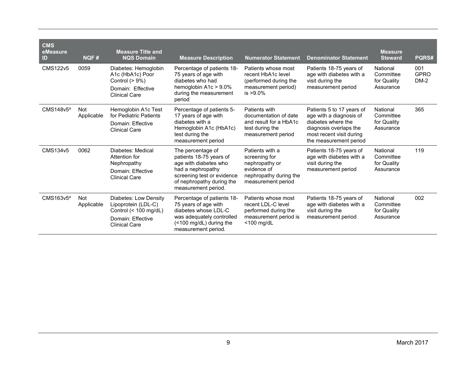| <b>CMS</b><br>eMeasure<br>ID | NQF#                     | <b>Measure Title and</b><br><b>NQS Domain</b>                                                                        | <b>Measure Description</b>                                                                                                                                                   | <b>Numerator Statement</b>                                                                                        | <b>Denominator Statement</b>                                                                                                                               | <b>Measure</b><br><b>Steward</b>                  | PQRS#                        |
|------------------------------|--------------------------|----------------------------------------------------------------------------------------------------------------------|------------------------------------------------------------------------------------------------------------------------------------------------------------------------------|-------------------------------------------------------------------------------------------------------------------|------------------------------------------------------------------------------------------------------------------------------------------------------------|---------------------------------------------------|------------------------------|
| <b>CMS122v5</b>              | 0059                     | Diabetes: Hemoglobin<br>A1c (HbA1c) Poor<br>Control $(> 9\%)$<br>Domain: Effective<br><b>Clinical Care</b>           | Percentage of patients 18-<br>75 years of age with<br>diabetes who had<br>hemoglobin $A1c > 9.0\%$<br>during the measurement<br>period                                       | Patients whose most<br>recent HbA1c level<br>(performed during the<br>measurement period)<br>$is > 9.0\%$         | Patients 18-75 years of<br>age with diabetes with a<br>visit during the<br>measurement period                                                              | National<br>Committee<br>for Quality<br>Assurance | 001<br><b>GPRO</b><br>$DM-2$ |
| CMS148v5 <sup>a</sup>        | <b>Not</b><br>Applicable | Hemoglobin A1c Test<br>for Pediatric Patients<br>Domain: Effective<br><b>Clinical Care</b>                           | Percentage of patients 5-<br>17 years of age with<br>diabetes with a<br>Hemoglobin A1c (HbA1c)<br>test during the<br>measurement period                                      | Patients with<br>documentation of date<br>and result for a HbA1c<br>test during the<br>measurement period         | Patients 5 to 17 years of<br>age with a diagnosis of<br>diabetes where the<br>diagnosis overlaps the<br>most recent visit during<br>the measurement period | National<br>Committee<br>for Quality<br>Assurance | 365                          |
| CMS134v5                     | 0062                     | Diabetes: Medical<br>Attention for<br>Nephropathy<br>Domain: Effective<br><b>Clinical Care</b>                       | The percentage of<br>patients 18-75 years of<br>age with diabetes who<br>had a nephropathy<br>screening test or evidence<br>of nephropathy during the<br>measurement period. | Patients with a<br>screening for<br>nephropathy or<br>evidence of<br>nephropathy during the<br>measurement period | Patients 18-75 years of<br>age with diabetes with a<br>visit during the<br>measurement period                                                              | National<br>Committee<br>for Quality<br>Assurance | 119                          |
| $CMS163v5^a$                 | <b>Not</b><br>Applicable | Diabetes: Low Density<br>Lipoprotein (LDL-C)<br>Control $(< 100$ mg/dL)<br>Domain: Effective<br><b>Clinical Care</b> | Percentage of patients 18-<br>75 years of age with<br>diabetes whose LDL-C<br>was adequately controlled<br>(<100 mg/dL) during the<br>measurement period.                    | Patients whose most<br>recent LDL-C level<br>performed during the<br>measurement period is<br>$<$ 100 mg/dL       | Patients 18-75 years of<br>age with diabetes with a<br>visit during the<br>measurement period                                                              | National<br>Committee<br>for Quality<br>Assurance | 002                          |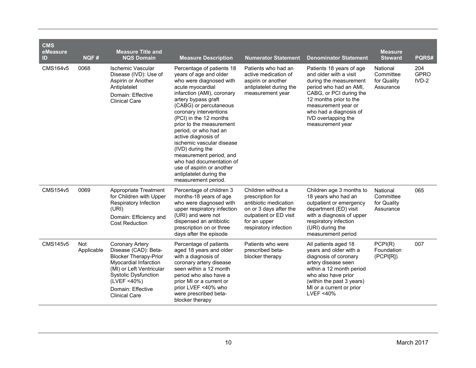| <b>CMS</b><br>eMeasure<br>ID | NQF#              | <b>Measure Title and</b><br><b>NQS Domain</b>                                                                                                                                                                                  | <b>Measure Description</b>                                                                                                                                                                                                                                                                                                                                                                                                                                                                               | <b>Numerator Statement</b>                                                                                                                                   | <b>Denominator Statement</b>                                                                                                                                                                                                                            | <b>Measure</b><br><b>Steward</b>                  | PQRS#                         |
|------------------------------|-------------------|--------------------------------------------------------------------------------------------------------------------------------------------------------------------------------------------------------------------------------|----------------------------------------------------------------------------------------------------------------------------------------------------------------------------------------------------------------------------------------------------------------------------------------------------------------------------------------------------------------------------------------------------------------------------------------------------------------------------------------------------------|--------------------------------------------------------------------------------------------------------------------------------------------------------------|---------------------------------------------------------------------------------------------------------------------------------------------------------------------------------------------------------------------------------------------------------|---------------------------------------------------|-------------------------------|
| <b>CMS164v5</b>              | 0068              | <b>Ischemic Vascular</b><br>Disease (IVD): Use of<br>Aspirin or Another<br>Antiplatelet<br>Domain: Effective<br><b>Clinical Care</b>                                                                                           | Percentage of patients 18<br>years of age and older<br>who were diagnosed with<br>acute myocardial<br>infarction (AMI), coronary<br>artery bypass graft<br>(CABG) or percutaneous<br>coronary interventions<br>(PCI) in the 12 months<br>prior to the measurement<br>period, or who had an<br>active diagnosis of<br>ischemic vascular disease<br>(IVD) during the<br>measurement period, and<br>who had documentation of<br>use of aspirin or another<br>antiplatelet during the<br>measurement period. | Patients who had an<br>active medication of<br>aspirin or another<br>antiplatelet during the<br>measurement year                                             | Patients 18 years of age<br>and older with a visit<br>during the measurement<br>period who had an AMI,<br>CABG, or PCI during the<br>12 months prior to the<br>measurement year or<br>who had a diagnosis of<br>IVD overlapping the<br>measurement year | National<br>Committee<br>for Quality<br>Assurance | 204<br><b>GPRO</b><br>$IVD-2$ |
| <b>CMS154v5</b>              | 0069              | Appropriate Treatment<br>for Children with Upper<br>Respiratory Infection<br>(URI)<br>Domain: Efficiency and<br><b>Cost Reduction</b>                                                                                          | Percentage of children 3<br>months-18 years of age<br>who were diagnosed with<br>upper respiratory infection<br>(URI) and were not<br>dispensed an antibiotic<br>prescription on or three<br>days after the episode                                                                                                                                                                                                                                                                                      | Children without a<br>prescription for<br>antibiotic medication<br>on or 3 days after the<br>outpatient or ED visit<br>for an upper<br>respiratory infection | Children age 3 months to<br>18 years who had an<br>outpatient or emergency<br>department (ED) visit<br>with a diagnosis of upper<br>respiratory infection<br>(URI) during the<br>measurement period                                                     | National<br>Committee<br>for Quality<br>Assurance | 065                           |
| <b>CMS145v5</b>              | Not<br>Applicable | <b>Coronary Artery</b><br>Disease (CAD): Beta-<br><b>Blocker Therapy-Prior</b><br>Myocardial Infarction<br>(MI) or Left Ventricular<br><b>Systolic Dysfunction</b><br>(LVEF <40%)<br>Domain: Effective<br><b>Clinical Care</b> | Percentage of patients<br>aged 18 years and older<br>with a diagnosis of<br>coronary artery disease<br>seen within a 12 month<br>period who also have a<br>prior MI or a current or<br>prior LVEF <40% who<br>were prescribed beta-<br>blocker therapy                                                                                                                                                                                                                                                   | Patients who were<br>prescribed beta-<br>blocker therapy                                                                                                     | All patients aged 18<br>years and older with a<br>diagnosis of coronary<br>artery disease seen<br>within a 12 month period<br>who also have prior<br>(within the past 3 years)<br>MI or a current or prior<br>LVEF <40%                                 | PCPI(R)<br>Foundation<br>(PCPI[R])                | 007                           |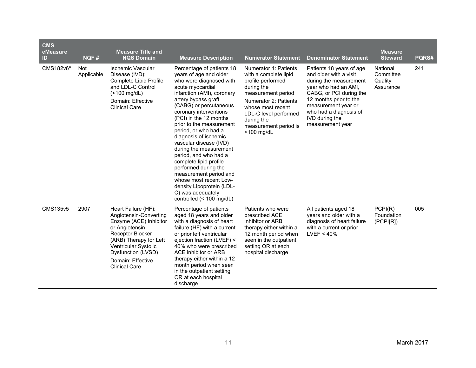| <b>CMS</b><br>eMeasure<br>ID | NQF#                     | <b>Measure Title and</b><br><b>NQS Domain</b>                                                                                                                                                                                      | <b>Measure Description</b>                                                                                                                                                                                                                                                                                                                                                                                                                                                                                                                                                          | <b>Numerator Statement</b>                                                                                                                                                                                                             | <b>Denominator Statement</b>                                                                                                                                                                                                                     | <b>Measure</b><br><b>Steward</b>              | PQRS# |
|------------------------------|--------------------------|------------------------------------------------------------------------------------------------------------------------------------------------------------------------------------------------------------------------------------|-------------------------------------------------------------------------------------------------------------------------------------------------------------------------------------------------------------------------------------------------------------------------------------------------------------------------------------------------------------------------------------------------------------------------------------------------------------------------------------------------------------------------------------------------------------------------------------|----------------------------------------------------------------------------------------------------------------------------------------------------------------------------------------------------------------------------------------|--------------------------------------------------------------------------------------------------------------------------------------------------------------------------------------------------------------------------------------------------|-----------------------------------------------|-------|
| CMS182v6ª                    | <b>Not</b><br>Applicable | <b>Ischemic Vascular</b><br>Disease (IVD):<br>Complete Lipid Profile<br>and LDL-C Control<br>$($ <100 mg/dL)<br>Domain: Effective<br><b>Clinical Care</b>                                                                          | Percentage of patients 18<br>years of age and older<br>who were diagnosed with<br>acute myocardial<br>infarction (AMI), coronary<br>artery bypass graft<br>(CABG) or percutaneous<br>coronary interventions<br>(PCI) in the 12 months<br>prior to the measurement<br>period, or who had a<br>diagnosis of ischemic<br>vascular disease (IVD)<br>during the measurement<br>period, and who had a<br>complete lipid profile<br>performed during the<br>measurement period and<br>whose most recent Low-<br>density Lipoprotein (LDL-<br>C) was adequately<br>controlled (< 100 mg/dL) | Numerator 1: Patients<br>with a complete lipid<br>profile performed<br>during the<br>measurement period<br>Numerator 2: Patients<br>whose most recent<br>LDL-C level performed<br>during the<br>measurement period is<br>$<$ 100 mg/dL | Patients 18 years of age<br>and older with a visit<br>during the measurement<br>year who had an AMI,<br>CABG, or PCI during the<br>12 months prior to the<br>measurement year or<br>who had a diagnosis of<br>IVD during the<br>measurement year | National<br>Committee<br>Quality<br>Assurance | 241   |
| CMS135v5                     | 2907                     | Heart Failure (HF):<br>Angiotensin-Converting<br>Enzyme (ACE) Inhibitor<br>or Angiotensin<br>Receptor Blocker<br>(ARB) Therapy for Left<br>Ventricular Systolic<br>Dysfunction (LVSD)<br>Domain: Effective<br><b>Clinical Care</b> | Percentage of patients<br>aged 18 years and older<br>with a diagnosis of heart<br>failure (HF) with a current<br>or prior left ventricular<br>ejection fraction (LVEF) <<br>40% who were prescribed<br>ACE inhibitor or ARB<br>therapy either within a 12<br>month period when seen<br>in the outpatient setting<br>OR at each hospital<br>discharge                                                                                                                                                                                                                                | Patients who were<br>prescribed ACE<br>inhibitor or ARB<br>therapy either within a<br>12 month period when<br>seen in the outpatient<br>setting OR at each<br>hospital discharge                                                       | All patients aged 18<br>years and older with a<br>diagnosis of heart failure<br>with a current or prior<br>LVEF < 40%                                                                                                                            | PCPI(R)<br>Foundation<br>(PCPI[R])            | 005   |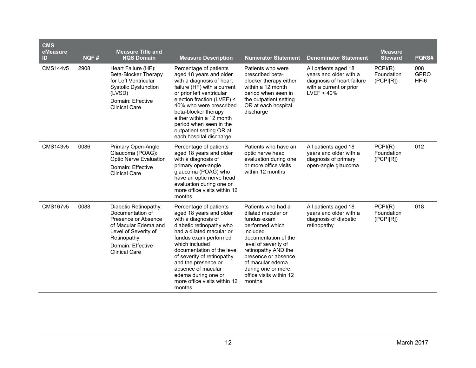| <b>CMS</b><br>eMeasure<br>ID | NQF# | <b>Measure Title and</b><br><b>NQS Domain</b>                                                                                                                                | <b>Measure Description</b>                                                                                                                                                                                                                                                                                                                            | <b>Numerator Statement</b>                                                                                                                                                                                                                                          | <b>Denominator Statement</b>                                                                                          | <b>Measure</b><br><b>Steward</b>   | PQRS#                        |
|------------------------------|------|------------------------------------------------------------------------------------------------------------------------------------------------------------------------------|-------------------------------------------------------------------------------------------------------------------------------------------------------------------------------------------------------------------------------------------------------------------------------------------------------------------------------------------------------|---------------------------------------------------------------------------------------------------------------------------------------------------------------------------------------------------------------------------------------------------------------------|-----------------------------------------------------------------------------------------------------------------------|------------------------------------|------------------------------|
| <b>CMS144v5</b>              | 2908 | Heart Failure (HF):<br>Beta-Blocker Therapy<br>for Left Ventricular<br><b>Systolic Dysfunction</b><br>(LVSD)<br>Domain: Effective<br><b>Clinical Care</b>                    | Percentage of patients<br>aged 18 years and older<br>with a diagnosis of heart<br>failure (HF) with a current<br>or prior left ventricular<br>ejection fraction (LVEF) <<br>40% who were prescribed<br>beta-blocker therapy<br>either within a 12 month<br>period when seen in the<br>outpatient setting OR at<br>each hospital discharge             | Patients who were<br>prescribed beta-<br>blocker therapy either<br>within a 12 month<br>period when seen in<br>the outpatient setting<br>OR at each hospital<br>discharge                                                                                           | All patients aged 18<br>years and older with a<br>diagnosis of heart failure<br>with a current or prior<br>LVEF < 40% | PCPI(R)<br>Foundation<br>(PCPI[R]) | 008<br><b>GPRO</b><br>$HF-6$ |
| CMS143v5                     | 0086 | Primary Open-Angle<br>Glaucoma (POAG):<br><b>Optic Nerve Evaluation</b><br>Domain: Effective<br><b>Clinical Care</b>                                                         | Percentage of patients<br>aged 18 years and older<br>with a diagnosis of<br>primary open-angle<br>glaucoma (POAG) who<br>have an optic nerve head<br>evaluation during one or<br>more office visits within 12<br>months                                                                                                                               | Patients who have an<br>optic nerve head<br>evaluation during one<br>or more office visits<br>within 12 months                                                                                                                                                      | All patients aged 18<br>years and older with a<br>diagnosis of primary<br>open-angle glaucoma                         | PCPI(R)<br>Foundation<br>(PCPI[R]) | 012                          |
| <b>CMS167v5</b>              | 0088 | Diabetic Retinopathy:<br>Documentation of<br>Presence or Absence<br>of Macular Edema and<br>Level of Severity of<br>Retinopathy<br>Domain: Effective<br><b>Clinical Care</b> | Percentage of patients<br>aged 18 years and older<br>with a diagnosis of<br>diabetic retinopathy who<br>had a dilated macular or<br>fundus exam performed<br>which included<br>documentation of the level<br>of severity of retinopathy<br>and the presence or<br>absence of macular<br>edema during one or<br>more office visits within 12<br>months | Patients who had a<br>dilated macular or<br>fundus exam<br>performed which<br>included<br>documentation of the<br>level of severity of<br>retinopathy AND the<br>presence or absence<br>of macular edema<br>during one or more<br>office visits within 12<br>months | All patients aged 18<br>years and older with a<br>diagnosis of diabetic<br>retinopathy                                | PCPI(R)<br>Foundation<br>(PCPI[R]) | 018                          |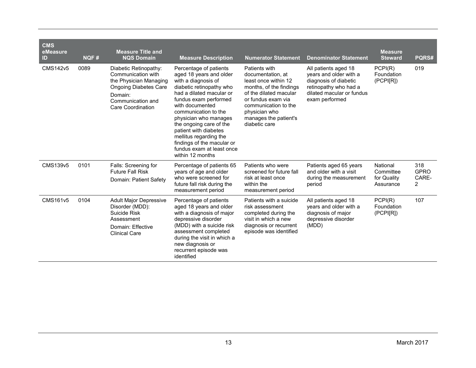| <b>CMS</b><br>eMeasure<br>ID | <b>NQF#</b> | <b>Measure Title and</b><br><b>NQS Domain</b>                                                                                                              | <b>Measure Description</b>                                                                                                                                                                                                                                                                                                                                                                 | <b>Numerator Statement</b>                                                                                                                                                                                               | <b>Denominator Statement</b>                                                                                                                    | <b>Measure</b><br><b>Steward</b>                  | PQRS#                            |
|------------------------------|-------------|------------------------------------------------------------------------------------------------------------------------------------------------------------|--------------------------------------------------------------------------------------------------------------------------------------------------------------------------------------------------------------------------------------------------------------------------------------------------------------------------------------------------------------------------------------------|--------------------------------------------------------------------------------------------------------------------------------------------------------------------------------------------------------------------------|-------------------------------------------------------------------------------------------------------------------------------------------------|---------------------------------------------------|----------------------------------|
| <b>CMS142v5</b>              | 0089        | Diabetic Retinopathy:<br>Communication with<br>the Physician Managing<br><b>Ongoing Diabetes Care</b><br>Domain:<br>Communication and<br>Care Coordination | Percentage of patients<br>aged 18 years and older<br>with a diagnosis of<br>diabetic retinopathy who<br>had a dilated macular or<br>fundus exam performed<br>with documented<br>communication to the<br>physician who manages<br>the ongoing care of the<br>patient with diabetes<br>mellitus regarding the<br>findings of the macular or<br>fundus exam at least once<br>within 12 months | Patients with<br>documentation, at<br>least once within 12<br>months, of the findings<br>of the dilated macular<br>or fundus exam via<br>communication to the<br>physician who<br>manages the patient's<br>diabetic care | All patients aged 18<br>years and older with a<br>diagnosis of diabetic<br>retinopathy who had a<br>dilated macular or fundus<br>exam performed | PCPI(R)<br>Foundation<br>(PCPI[R])                | 019                              |
| CMS139v5                     | 0101        | Falls: Screening for<br><b>Future Fall Risk</b><br>Domain: Patient Safety                                                                                  | Percentage of patients 65<br>years of age and older<br>who were screened for<br>future fall risk during the<br>measurement period                                                                                                                                                                                                                                                          | Patients who were<br>screened for future fall<br>risk at least once<br>within the<br>measurement period                                                                                                                  | Patients aged 65 years<br>and older with a visit<br>during the measurement<br>period                                                            | National<br>Committee<br>for Quality<br>Assurance | 318<br><b>GPRO</b><br>CARE-<br>2 |
| CMS161v5                     | 0104        | <b>Adult Major Depressive</b><br>Disorder (MDD):<br>Suicide Risk<br>Assessment<br>Domain: Effective<br><b>Clinical Care</b>                                | Percentage of patients<br>aged 18 years and older<br>with a diagnosis of major<br>depressive disorder<br>(MDD) with a suicide risk<br>assessment completed<br>during the visit in which a<br>new diagnosis or<br>recurrent episode was<br>identified                                                                                                                                       | Patients with a suicide<br>risk assessment<br>completed during the<br>visit in which a new<br>diagnosis or recurrent<br>episode was identified                                                                           | All patients aged 18<br>years and older with a<br>diagnosis of major<br>depressive disorder<br>(MDD)                                            | PCPI(R)<br>Foundation<br>(PCP I[R])               | 107                              |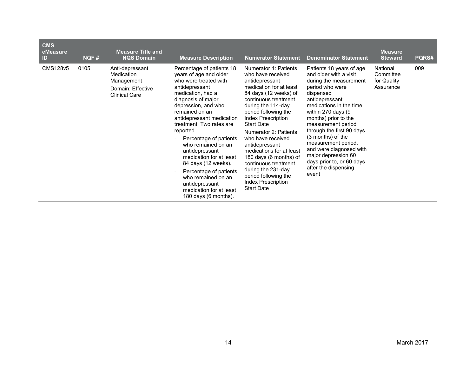| <b>CMS</b><br>eMeasure<br>ID | NQF# | <b>Measure Title and</b><br><b>NQS Domain</b>                                            | <b>Measure Description</b>                                                                                                                                                                                                                                                                                                                                                                                                                                                                                                                                 | <b>Numerator Statement</b>                                                                                                                                                                                                                                                                                                                                                                                                                                                      | <b>Denominator Statement</b>                                                                                                                                                                                                                                                                                                                                                                                           | <b>Measure</b><br><b>Steward</b>                  | PQRS# |
|------------------------------|------|------------------------------------------------------------------------------------------|------------------------------------------------------------------------------------------------------------------------------------------------------------------------------------------------------------------------------------------------------------------------------------------------------------------------------------------------------------------------------------------------------------------------------------------------------------------------------------------------------------------------------------------------------------|---------------------------------------------------------------------------------------------------------------------------------------------------------------------------------------------------------------------------------------------------------------------------------------------------------------------------------------------------------------------------------------------------------------------------------------------------------------------------------|------------------------------------------------------------------------------------------------------------------------------------------------------------------------------------------------------------------------------------------------------------------------------------------------------------------------------------------------------------------------------------------------------------------------|---------------------------------------------------|-------|
| CMS128v5                     | 0105 | Anti-depressant<br>Medication<br>Management<br>Domain: Effective<br><b>Clinical Care</b> | Percentage of patients 18<br>years of age and older<br>who were treated with<br>antidepressant<br>medication, had a<br>diagnosis of major<br>depression, and who<br>remained on an<br>antidepressant medication<br>treatment. Two rates are<br>reported.<br>Percentage of patients<br>$\overline{\phantom{a}}$<br>who remained on an<br>antidepressant<br>medication for at least<br>84 days (12 weeks).<br>Percentage of patients<br>$\overline{a}$<br>who remained on an<br>antidepressant<br>medication for at least<br>180 days $(6 \text{ months})$ . | Numerator 1: Patients<br>who have received<br>antidepressant<br>medication for at least<br>84 days (12 weeks) of<br>continuous treatment<br>during the 114-day<br>period following the<br><b>Index Prescription</b><br><b>Start Date</b><br>Numerator 2: Patients<br>who have received<br>antidepressant<br>medications for at least<br>180 days (6 months) of<br>continuous treatment<br>during the 231-day<br>period following the<br>Index Prescription<br><b>Start Date</b> | Patients 18 years of age<br>and older with a visit<br>during the measurement<br>period who were<br>dispensed<br>antidepressant<br>medications in the time<br>within 270 days (9<br>months) prior to the<br>measurement period<br>through the first 90 days<br>(3 months) of the<br>measurement period,<br>and were diagnosed with<br>major depression 60<br>days prior to, or 60 days<br>after the dispensing<br>event | National<br>Committee<br>for Quality<br>Assurance | 009   |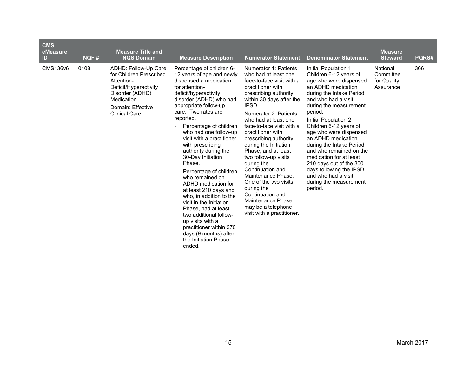| <b>CMS</b><br>eMeasure<br>ID | NQF# | <b>Measure Title and</b><br><b>NQS Domain</b>                                                                                                                        | <b>Measure Description</b>                                                                                                                                                                                                                                                                                                                                                                                                                                                                                                                                                                                                                                                                   | <b>Numerator Statement</b>                                                                                                                                                                                                                                                                                                                                                                                                                                                                                                                                    | <b>Denominator Statement</b>                                                                                                                                                                                                                                                                                                                                                                                                                                                                    | <b>Measure</b><br><b>Steward</b>                  | PQRS# |
|------------------------------|------|----------------------------------------------------------------------------------------------------------------------------------------------------------------------|----------------------------------------------------------------------------------------------------------------------------------------------------------------------------------------------------------------------------------------------------------------------------------------------------------------------------------------------------------------------------------------------------------------------------------------------------------------------------------------------------------------------------------------------------------------------------------------------------------------------------------------------------------------------------------------------|---------------------------------------------------------------------------------------------------------------------------------------------------------------------------------------------------------------------------------------------------------------------------------------------------------------------------------------------------------------------------------------------------------------------------------------------------------------------------------------------------------------------------------------------------------------|-------------------------------------------------------------------------------------------------------------------------------------------------------------------------------------------------------------------------------------------------------------------------------------------------------------------------------------------------------------------------------------------------------------------------------------------------------------------------------------------------|---------------------------------------------------|-------|
| CMS136v6                     | 0108 | ADHD: Follow-Up Care<br>for Children Prescribed<br>Attention-<br>Deficit/Hyperactivity<br>Disorder (ADHD)<br>Medication<br>Domain: Effective<br><b>Clinical Care</b> | Percentage of children 6-<br>12 years of age and newly<br>dispensed a medication<br>for attention-<br>deficit/hyperactivity<br>disorder (ADHD) who had<br>appropriate follow-up<br>care. Two rates are<br>reported.<br>Percentage of children<br>who had one follow-up<br>visit with a practitioner<br>with prescribing<br>authority during the<br>30-Day Initiation<br>Phase.<br>Percentage of children<br>who remained on<br>ADHD medication for<br>at least 210 days and<br>who, in addition to the<br>visit in the Initiation<br>Phase, had at least<br>two additional follow-<br>up visits with a<br>practitioner within 270<br>days (9 months) after<br>the Initiation Phase<br>ended. | Numerator 1: Patients<br>who had at least one<br>face-to-face visit with a<br>practitioner with<br>prescribing authority<br>within 30 days after the<br>IPSD.<br>Numerator 2: Patients<br>who had at least one<br>face-to-face visit with a<br>practitioner with<br>prescribing authority<br>during the Initiation<br>Phase, and at least<br>two follow-up visits<br>during the<br>Continuation and<br>Maintenance Phase.<br>One of the two visits<br>during the<br>Continuation and<br>Maintenance Phase<br>may be a telephone<br>visit with a practitioner. | Initial Population 1:<br>Children 6-12 years of<br>age who were dispensed<br>an ADHD medication<br>during the Intake Period<br>and who had a visit<br>during the measurement<br>period.<br>Initial Population 2:<br>Children 6-12 years of<br>age who were dispensed<br>an ADHD medication<br>during the Intake Period<br>and who remained on the<br>medication for at least<br>210 days out of the 300<br>days following the IPSD,<br>and who had a visit<br>during the measurement<br>period. | National<br>Committee<br>for Quality<br>Assurance | 366   |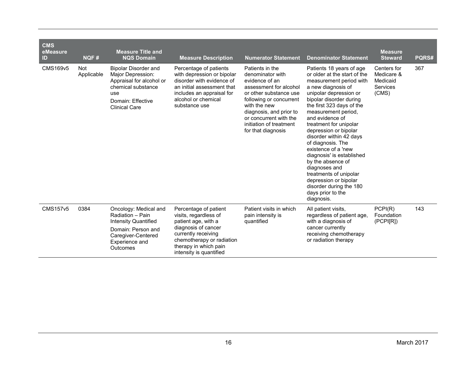| <b>CMS</b><br>eMeasure |                          | <b>Measure Title and</b>                                                                                                                               |                                                                                                                                                                                                      |                                                                                                                                                                                                                                                            |                                                                                                                                                                                                                                                                                                                                                                                                                                                                                                                                                     | <b>Measure</b>                                                    |       |
|------------------------|--------------------------|--------------------------------------------------------------------------------------------------------------------------------------------------------|------------------------------------------------------------------------------------------------------------------------------------------------------------------------------------------------------|------------------------------------------------------------------------------------------------------------------------------------------------------------------------------------------------------------------------------------------------------------|-----------------------------------------------------------------------------------------------------------------------------------------------------------------------------------------------------------------------------------------------------------------------------------------------------------------------------------------------------------------------------------------------------------------------------------------------------------------------------------------------------------------------------------------------------|-------------------------------------------------------------------|-------|
| ID                     | NQF#                     | <b>NQS Domain</b>                                                                                                                                      | <b>Measure Description</b>                                                                                                                                                                           | <b>Numerator Statement</b>                                                                                                                                                                                                                                 | <b>Denominator Statement</b>                                                                                                                                                                                                                                                                                                                                                                                                                                                                                                                        | <b>Steward</b>                                                    | PQRS# |
| <b>CMS169v5</b>        | <b>Not</b><br>Applicable | <b>Bipolar Disorder and</b><br>Major Depression:<br>Appraisal for alcohol or<br>chemical substance<br>use<br>Domain: Effective<br><b>Clinical Care</b> | Percentage of patients<br>with depression or bipolar<br>disorder with evidence of<br>an initial assessment that<br>includes an appraisal for<br>alcohol or chemical<br>substance use                 | Patients in the<br>denominator with<br>evidence of an<br>assessment for alcohol<br>or other substance use<br>following or concurrent<br>with the new<br>diagnosis, and prior to<br>or concurrent with the<br>initiation of treatment<br>for that diagnosis | Patients 18 years of age<br>or older at the start of the<br>measurement period with<br>a new diagnosis of<br>unipolar depression or<br>bipolar disorder during<br>the first 323 days of the<br>measurement period,<br>and evidence of<br>treatment for unipolar<br>depression or bipolar<br>disorder within 42 days<br>of diagnosis. The<br>existence of a 'new<br>diagnosis' is established<br>by the absence of<br>diagnoses and<br>treatments of unipolar<br>depression or bipolar<br>disorder during the 180<br>days prior to the<br>diagnosis. | Centers for<br>Medicare &<br>Medicaid<br><b>Services</b><br>(CMS) | 367   |
| <b>CMS157v5</b>        | 0384                     | Oncology: Medical and<br>Radiation - Pain<br><b>Intensity Quantified</b><br>Domain: Person and<br>Caregiver-Centered<br>Experience and<br>Outcomes     | Percentage of patient<br>visits, regardless of<br>patient age, with a<br>diagnosis of cancer<br>currently receiving<br>chemotherapy or radiation<br>therapy in which pain<br>intensity is quantified | Patient visits in which<br>pain intensity is<br>quantified                                                                                                                                                                                                 | All patient visits,<br>regardless of patient age,<br>with a diagnosis of<br>cancer currently<br>receiving chemotherapy<br>or radiation therapy                                                                                                                                                                                                                                                                                                                                                                                                      | PCPI(R)<br>Foundation<br>(PCPI[R])                                | 143   |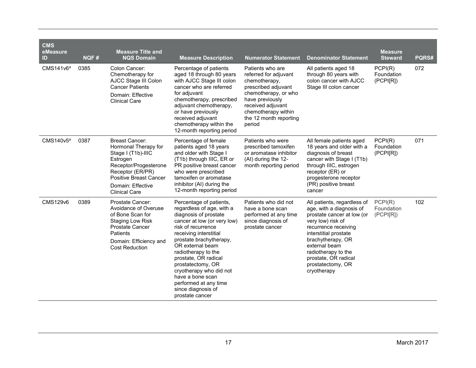| <b>CMS</b><br>eMeasure<br>ID | NQF# | <b>Measure Title and</b><br><b>NQS Domain</b>                                                                                                                                                              | <b>Measure Description</b>                                                                                                                                                                                                                                                                                                                                                                       | <b>Numerator Statement</b>                                                                                                                                                                                   | <b>Denominator Statement</b>                                                                                                                                                                                                                                                         | <b>Measure</b><br><b>Steward</b>    | PQRS# |
|------------------------------|------|------------------------------------------------------------------------------------------------------------------------------------------------------------------------------------------------------------|--------------------------------------------------------------------------------------------------------------------------------------------------------------------------------------------------------------------------------------------------------------------------------------------------------------------------------------------------------------------------------------------------|--------------------------------------------------------------------------------------------------------------------------------------------------------------------------------------------------------------|--------------------------------------------------------------------------------------------------------------------------------------------------------------------------------------------------------------------------------------------------------------------------------------|-------------------------------------|-------|
| CMS141v6 <sup>a</sup>        | 0385 | Colon Cancer:<br>Chemotherapy for<br>AJCC Stage III Colon<br><b>Cancer Patients</b><br>Domain: Effective<br><b>Clinical Care</b>                                                                           | Percentage of patients<br>aged 18 through 80 years<br>with AJCC Stage III colon<br>cancer who are referred<br>for adjuvant<br>chemotherapy, prescribed<br>adjuvant chemotherapy,<br>or have previously<br>received adjuvant<br>chemotherapy within the<br>12-month reporting period                                                                                                              | Patients who are<br>referred for adjuvant<br>chemotherapy,<br>prescribed adjuvant<br>chemotherapy, or who<br>have previously<br>received adjuvant<br>chemotherapy within<br>the 12 month reporting<br>period | All patients aged 18<br>through 80 years with<br>colon cancer with AJCC<br>Stage III colon cancer                                                                                                                                                                                    | PCPI(R)<br>Foundation<br>(PCPI[R])  | 072   |
| CMS140v5 <sup>a</sup>        | 0387 | <b>Breast Cancer:</b><br>Hormonal Therapy for<br>Stage I (T1b)-IIIC<br>Estrogen<br>Receptor/Progesterone<br>Receptor (ER/PR)<br><b>Positive Breast Cancer</b><br>Domain: Effective<br><b>Clinical Care</b> | Percentage of female<br>patients aged 18 years<br>and older with Stage I<br>(T1b) through IIIC, ER or<br>PR positive breast cancer<br>who were prescribed<br>tamoxifen or aromatase<br>inhibitor (AI) during the<br>12-month reporting period                                                                                                                                                    | Patients who were<br>prescribed tamoxifen<br>or aromatase inhibitor<br>(AI) during the 12-<br>month reporting period                                                                                         | All female patients aged<br>18 years and older with a<br>diagnosis of breast<br>cancer with Stage I (T1b)<br>through IIIC, estrogen<br>receptor (ER) or<br>progesterone receptor<br>(PR) positive breast<br>cancer                                                                   | PCPI(R)<br>Foundation<br>(PCPI[R])  | 071   |
| <b>CMS129v6</b>              | 0389 | Prostate Cancer:<br>Avoidance of Overuse<br>of Bone Scan for<br><b>Staging Low Risk</b><br><b>Prostate Cancer</b><br>Patients<br>Domain: Efficiency and<br><b>Cost Reduction</b>                           | Percentage of patients,<br>regardless of age, with a<br>diagnosis of prostate<br>cancer at low (or very low)<br>risk of recurrence<br>receiving interstitial<br>prostate brachytherapy,<br>OR external beam<br>radiotherapy to the<br>prostate, OR radical<br>prostatectomy, OR<br>cryotherapy who did not<br>have a bone scan<br>performed at any time<br>since diagnosis of<br>prostate cancer | Patients who did not<br>have a bone scan<br>performed at any time<br>since diagnosis of<br>prostate cancer                                                                                                   | All patients, regardless of<br>age, with a diagnosis of<br>prostate cancer at low (or<br>very low) risk of<br>recurrence receiving<br>interstitial prostate<br>brachytherapy, OR<br>external beam<br>radiotherapy to the<br>prostate, OR radical<br>prostatectomy, OR<br>cryotherapy | PCPI(R)<br>Foundation<br>(PCP I[R]) | 102   |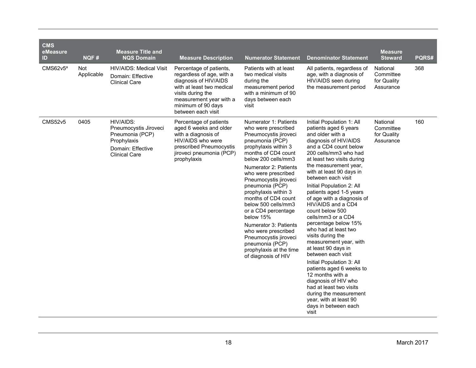| <b>CMS</b><br>eMeasure<br>ID | NQF#               | <b>Measure Title and</b><br><b>NQS Domain</b>                                                                     | <b>Measure Description</b>                                                                                                                                                                             | <b>Numerator Statement</b>                                                                                                                                                                                                                                                                                                                                                                                                                                                                                         | <b>Denominator Statement</b>                                                                                                                                                                                                                                                                                                                                                                                                                                                                                                                                                                                                                                                                                                                                                     | <b>Measure</b><br><b>Steward</b>                  | PQRS# |
|------------------------------|--------------------|-------------------------------------------------------------------------------------------------------------------|--------------------------------------------------------------------------------------------------------------------------------------------------------------------------------------------------------|--------------------------------------------------------------------------------------------------------------------------------------------------------------------------------------------------------------------------------------------------------------------------------------------------------------------------------------------------------------------------------------------------------------------------------------------------------------------------------------------------------------------|----------------------------------------------------------------------------------------------------------------------------------------------------------------------------------------------------------------------------------------------------------------------------------------------------------------------------------------------------------------------------------------------------------------------------------------------------------------------------------------------------------------------------------------------------------------------------------------------------------------------------------------------------------------------------------------------------------------------------------------------------------------------------------|---------------------------------------------------|-------|
| CMS62v5ª                     | Not.<br>Applicable | <b>HIV/AIDS: Medical Visit</b><br>Domain: Effective<br><b>Clinical Care</b>                                       | Percentage of patients,<br>regardless of age, with a<br>diagnosis of HIV/AIDS<br>with at least two medical<br>visits during the<br>measurement year with a<br>minimum of 90 days<br>between each visit | Patients with at least<br>two medical visits<br>during the<br>measurement period<br>with a minimum of 90<br>days between each<br>visit                                                                                                                                                                                                                                                                                                                                                                             | All patients, regardless of<br>age, with a diagnosis of<br>HIV/AIDS seen during<br>the measurement period                                                                                                                                                                                                                                                                                                                                                                                                                                                                                                                                                                                                                                                                        | National<br>Committee<br>for Quality<br>Assurance | 368   |
| <b>CMS52v5</b>               | 0405               | HIV/AIDS:<br>Pneumocystis Jiroveci<br>Pneumonia (PCP)<br>Prophylaxis<br>Domain: Effective<br><b>Clinical Care</b> | Percentage of patients<br>aged 6 weeks and older<br>with a diagnosis of<br>HIV/AIDS who were<br>prescribed Pneumocystis<br>jiroveci pneumonia (PCP)<br>prophylaxis                                     | Numerator 1: Patients<br>who were prescribed<br>Pneumocystis jiroveci<br>pneumonia (PCP)<br>prophylaxis within 3<br>months of CD4 count<br>below 200 cells/mm3<br>Numerator 2: Patients<br>who were prescribed<br>Pneumocystis jiroveci<br>pneumonia (PCP)<br>prophylaxis within 3<br>months of CD4 count<br>below 500 cells/mm3<br>or a CD4 percentage<br>below 15%<br>Numerator 3: Patients<br>who were prescribed<br>Pneumocystis jiroveci<br>pneumonia (PCP)<br>prophylaxis at the time<br>of diagnosis of HIV | Initial Population 1: All<br>patients aged 6 years<br>and older with a<br>diagnosis of HIV/AIDS<br>and a CD4 count below<br>200 cells/mm3 who had<br>at least two visits during<br>the measurement year,<br>with at least 90 days in<br>between each visit<br>Initial Population 2: All<br>patients aged 1-5 years<br>of age with a diagnosis of<br>HIV/AIDS and a CD4<br>count below 500<br>cells/mm3 or a CD4<br>percentage below 15%<br>who had at least two<br>visits during the<br>measurement year, with<br>at least 90 days in<br>between each visit<br>Initial Population 3: All<br>patients aged 6 weeks to<br>12 months with a<br>diagnosis of HIV who<br>had at least two visits<br>during the measurement<br>year, with at least 90<br>days in between each<br>visit | National<br>Committee<br>for Quality<br>Assurance | 160   |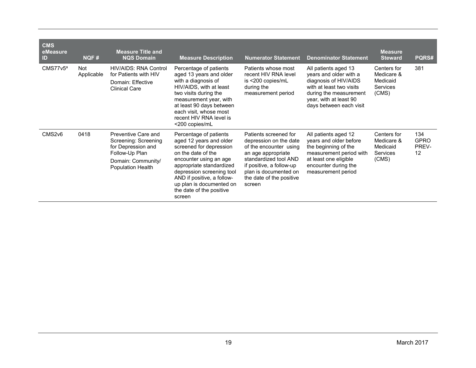| <b>CMS</b><br>eMeasure<br>ID | NQF#                     | <b>Measure Title and</b><br><b>NQS Domain</b>                                                                                  | <b>Measure Description</b>                                                                                                                                                                                                                                                            | <b>Numerator Statement</b>                                                                                                                                                                                          | <b>Denominator Statement</b>                                                                                                                                                       | <b>Measure</b><br><b>Steward</b>                           | PQRS#                             |
|------------------------------|--------------------------|--------------------------------------------------------------------------------------------------------------------------------|---------------------------------------------------------------------------------------------------------------------------------------------------------------------------------------------------------------------------------------------------------------------------------------|---------------------------------------------------------------------------------------------------------------------------------------------------------------------------------------------------------------------|------------------------------------------------------------------------------------------------------------------------------------------------------------------------------------|------------------------------------------------------------|-----------------------------------|
| CMS77v5 <sup>a</sup>         | <b>Not</b><br>Applicable | <b>HIV/AIDS: RNA Control</b><br>for Patients with HIV<br>Domain: Effective<br><b>Clinical Care</b>                             | Percentage of patients<br>aged 13 years and older<br>with a diagnosis of<br>HIV/AIDS, with at least<br>two visits during the<br>measurement year, with<br>at least 90 days between<br>each visit, whose most<br>recent HIV RNA level is<br><200 copies/mL                             | Patients whose most<br>recent HIV RNA level<br>is <200 copies/mL<br>during the<br>measurement period                                                                                                                | All patients aged 13<br>years and older with a<br>diagnosis of HIV/AIDS<br>with at least two visits<br>during the measurement<br>year, with at least 90<br>days between each visit | Centers for<br>Medicare &<br>Medicaid<br>Services<br>(CMS) | 381                               |
| CMS2v6                       | 0418                     | Preventive Care and<br>Screening: Screening<br>for Depression and<br>Follow-Up Plan<br>Domain: Community/<br>Population Health | Percentage of patients<br>aged 12 years and older<br>screened for depression<br>on the date of the<br>encounter using an age<br>appropriate standardized<br>depression screening tool<br>AND if positive, a follow-<br>up plan is documented on<br>the date of the positive<br>screen | Patients screened for<br>depression on the date<br>of the encounter using<br>an age appropriate<br>standardized tool AND<br>if positive, a follow-up<br>plan is documented on<br>the date of the positive<br>screen | All patients aged 12<br>years and older before<br>the beginning of the<br>measurement period with<br>at least one eligible<br>encounter during the<br>measurement period           | Centers for<br>Medicare &<br>Medicaid<br>Services<br>(CMS) | 134<br><b>GPRO</b><br>PREV-<br>12 |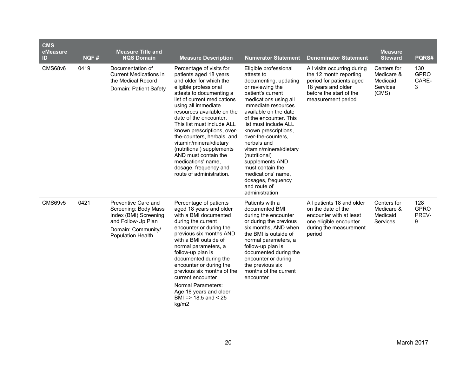| <b>CMS</b><br>eMeasure<br>ID | NQF# | <b>Measure Title and</b><br><b>NQS Domain</b>                                                                                                | <b>Measure Description</b>                                                                                                                                                                                                                                                                                                                                                                                                                                                                            | <b>Numerator Statement</b>                                                                                                                                                                                                                                                                                                                                                                                                                                      | <b>Denominator Statement</b>                                                                                                                             | <b>Measure</b><br><b>Steward</b>                                  | PQRS#                            |
|------------------------------|------|----------------------------------------------------------------------------------------------------------------------------------------------|-------------------------------------------------------------------------------------------------------------------------------------------------------------------------------------------------------------------------------------------------------------------------------------------------------------------------------------------------------------------------------------------------------------------------------------------------------------------------------------------------------|-----------------------------------------------------------------------------------------------------------------------------------------------------------------------------------------------------------------------------------------------------------------------------------------------------------------------------------------------------------------------------------------------------------------------------------------------------------------|----------------------------------------------------------------------------------------------------------------------------------------------------------|-------------------------------------------------------------------|----------------------------------|
| <b>CMS68v6</b>               | 0419 | Documentation of<br><b>Current Medications in</b><br>the Medical Record<br>Domain: Patient Safety                                            | Percentage of visits for<br>patients aged 18 years<br>and older for which the<br>eligible professional<br>attests to documenting a<br>list of current medications<br>using all immediate<br>resources available on the<br>date of the encounter.<br>This list must include ALL<br>known prescriptions, over-<br>the-counters, herbals, and<br>vitamin/mineral/dietary<br>(nutritional) supplements<br>AND must contain the<br>medications' name,<br>dosage, frequency and<br>route of administration. | Eligible professional<br>attests to<br>documenting, updating<br>or reviewing the<br>patient's current<br>medications using all<br>immediate resources<br>available on the date<br>of the encounter. This<br>list must include ALL<br>known prescriptions,<br>over-the-counters.<br>herbals and<br>vitamin/mineral/dietary<br>(nutritional)<br>supplements AND<br>must contain the<br>medications' name,<br>dosages, frequency<br>and route of<br>administration | All visits occurring during<br>the 12 month reporting<br>period for patients aged<br>18 years and older<br>before the start of the<br>measurement period | Centers for<br>Medicare &<br>Medicaid<br><b>Services</b><br>(CMS) | 130<br><b>GPRO</b><br>CARE-<br>3 |
| <b>CMS69v5</b>               | 0421 | Preventive Care and<br>Screening: Body Mass<br>Index (BMI) Screening<br>and Follow-Up Plan<br>Domain: Community/<br><b>Population Health</b> | Percentage of patients<br>aged 18 years and older<br>with a BMI documented<br>during the current<br>encounter or during the<br>previous six months AND<br>with a BMI outside of<br>normal parameters, a<br>follow-up plan is<br>documented during the<br>encounter or during the<br>previous six months of the<br>current encounter<br><b>Normal Parameters:</b><br>Age 18 years and older<br>BMI = $> 18.5$ and $< 25$<br>kg/m2                                                                      | Patients with a<br>documented BMI<br>during the encounter<br>or during the previous<br>six months, AND when<br>the BMI is outside of<br>normal parameters, a<br>follow-up plan is<br>documented during the<br>encounter or during<br>the previous six<br>months of the current<br>encounter                                                                                                                                                                     | All patients 18 and older<br>on the date of the<br>encounter with at least<br>one eligible encounter<br>during the measurement<br>period                 | Centers for<br>Medicare &<br>Medicaid<br><b>Services</b>          | 128<br><b>GPRO</b><br>PREV-<br>9 |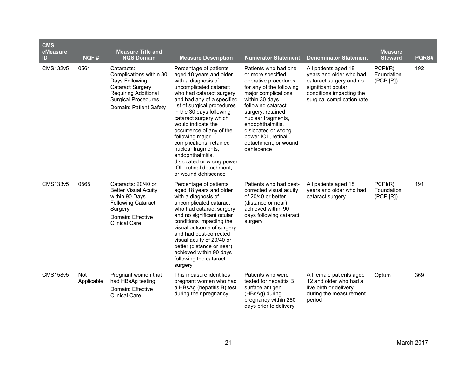| <b>CMS</b><br>eMeasure<br>ID | NQF#              | <b>Measure Title and</b><br><b>NQS Domain</b>                                                                                                                      | <b>Measure Description</b>                                                                                                                                                                                                                                                                                                                                                                                                                                                  | <b>Numerator Statement</b>                                                                                                                                                                                                                                                                                     | <b>Denominator Statement</b>                                                                                                                               | <b>Measure</b><br><b>Steward</b>   | PQRS# |
|------------------------------|-------------------|--------------------------------------------------------------------------------------------------------------------------------------------------------------------|-----------------------------------------------------------------------------------------------------------------------------------------------------------------------------------------------------------------------------------------------------------------------------------------------------------------------------------------------------------------------------------------------------------------------------------------------------------------------------|----------------------------------------------------------------------------------------------------------------------------------------------------------------------------------------------------------------------------------------------------------------------------------------------------------------|------------------------------------------------------------------------------------------------------------------------------------------------------------|------------------------------------|-------|
| CMS132v5                     | 0564              | Cataracts:<br>Complications within 30<br>Days Following<br><b>Cataract Surgery</b><br>Requiring Additional<br><b>Surgical Procedures</b><br>Domain: Patient Safety | Percentage of patients<br>aged 18 years and older<br>with a diagnosis of<br>uncomplicated cataract<br>who had cataract surgery<br>and had any of a specified<br>list of surgical procedures<br>in the 30 days following<br>cataract surgery which<br>would indicate the<br>occurrence of any of the<br>following major<br>complications: retained<br>nuclear fragments,<br>endophthalmitis,<br>dislocated or wrong power<br>IOL, retinal detachment,<br>or wound dehiscence | Patients who had one<br>or more specified<br>operative procedures<br>for any of the following<br>major complications<br>within 30 days<br>following cataract<br>surgery: retained<br>nuclear fragments,<br>endophthalmitis,<br>dislocated or wrong<br>power IOL, retinal<br>detachment, or wound<br>dehiscence | All patients aged 18<br>years and older who had<br>cataract surgery and no<br>significant ocular<br>conditions impacting the<br>surgical complication rate | PCPI(R)<br>Foundation<br>(PCPI[R]) | 192   |
| CMS133v5                     | 0565              | Cataracts: 20/40 or<br><b>Better Visual Acuity</b><br>within 90 Days<br><b>Following Cataract</b><br>Surgery<br>Domain: Effective<br><b>Clinical Care</b>          | Percentage of patients<br>aged 18 years and older<br>with a diagnosis of<br>uncomplicated cataract<br>who had cataract surgery<br>and no significant ocular<br>conditions impacting the<br>visual outcome of surgery<br>and had best-corrected<br>visual acuity of 20/40 or<br>better (distance or near)<br>achieved within 90 days<br>following the cataract<br>surgery                                                                                                    | Patients who had best-<br>corrected visual acuity<br>of 20/40 or better<br>(distance or near)<br>achieved within 90<br>days following cataract<br>surgery                                                                                                                                                      | All patients aged 18<br>years and older who had<br>cataract surgery                                                                                        | PCPI(R)<br>Foundation<br>(PCPI[R]) | 191   |
| CMS158v5                     | Not<br>Applicable | Pregnant women that<br>had HBsAg testing<br>Domain: Effective<br><b>Clinical Care</b>                                                                              | This measure identifies<br>pregnant women who had<br>a HBsAg (hepatitis B) test<br>during their pregnancy                                                                                                                                                                                                                                                                                                                                                                   | Patients who were<br>tested for hepatitis B<br>surface antigen<br>(HBsAg) during<br>pregnancy within 280<br>days prior to delivery                                                                                                                                                                             | All female patients aged<br>12 and older who had a<br>live birth or delivery<br>during the measurement<br>period                                           | Optum                              | 369   |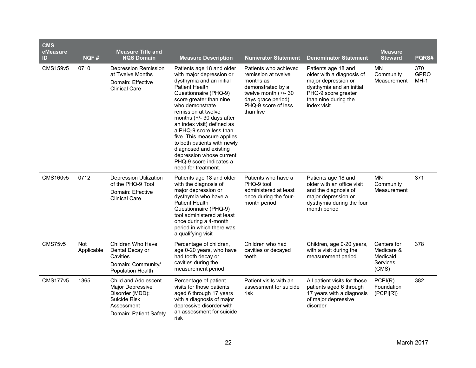| <b>CMS</b><br>eMeasure<br>ID | NQF#                     | <b>Measure Title and</b><br><b>NQS Domain</b>                                                                       | <b>Measure Description</b>                                                                                                                                                                                                                                                                                                                                                                                                                                            | <b>Numerator Statement</b>                                                                                                                                       | <b>Denominator Statement</b>                                                                                                                                      | <b>Measure</b><br><b>Steward</b>                           | PQRS#                        |
|------------------------------|--------------------------|---------------------------------------------------------------------------------------------------------------------|-----------------------------------------------------------------------------------------------------------------------------------------------------------------------------------------------------------------------------------------------------------------------------------------------------------------------------------------------------------------------------------------------------------------------------------------------------------------------|------------------------------------------------------------------------------------------------------------------------------------------------------------------|-------------------------------------------------------------------------------------------------------------------------------------------------------------------|------------------------------------------------------------|------------------------------|
| CMS159v5                     | 0710                     | <b>Depression Remission</b><br>at Twelve Months<br>Domain: Effective<br><b>Clinical Care</b>                        | Patients age 18 and older<br>with major depression or<br>dysthymia and an initial<br><b>Patient Health</b><br>Questionnaire (PHQ-9)<br>score greater than nine<br>who demonstrate<br>remission at twelve<br>months $(+/- 30$ days after<br>an index visit) defined as<br>a PHQ-9 score less than<br>five. This measure applies<br>to both patients with newly<br>diagnosed and existing<br>depression whose current<br>PHQ-9 score indicates a<br>need for treatment. | Patients who achieved<br>remission at twelve<br>months as<br>demonstrated by a<br>twelve month (+/- 30<br>days grace period)<br>PHQ-9 score of less<br>than five | Patients age 18 and<br>older with a diagnosis of<br>major depression or<br>dysthymia and an initial<br>PHQ-9 score greater<br>than nine during the<br>index visit | <b>MN</b><br>Community<br>Measurement                      | 370<br><b>GPRO</b><br>$MH-1$ |
| <b>CMS160v5</b>              | 0712                     | <b>Depression Utilization</b><br>of the PHQ-9 Tool<br>Domain: Effective<br><b>Clinical Care</b>                     | Patients age 18 and older<br>with the diagnosis of<br>major depression or<br>dysthymia who have a<br><b>Patient Health</b><br>Questionnaire (PHQ-9)<br>tool administered at least<br>once during a 4-month<br>period in which there was<br>a qualifying visit                                                                                                                                                                                                         | Patients who have a<br>PHQ-9 tool<br>administered at least<br>once during the four-<br>month period                                                              | Patients age 18 and<br>older with an office visit<br>and the diagnosis of<br>major depression or<br>dysthymia during the four<br>month period                     | <b>MN</b><br>Community<br>Measurement                      | 371                          |
| <b>CMS75v5</b>               | <b>Not</b><br>Applicable | Children Who Have<br>Dental Decay or<br>Cavities<br>Domain: Community/<br><b>Population Health</b>                  | Percentage of children,<br>age 0-20 years, who have<br>had tooth decay or<br>cavities during the<br>measurement period                                                                                                                                                                                                                                                                                                                                                | Children who had<br>cavities or decayed<br>teeth                                                                                                                 | Children, age 0-20 years,<br>with a visit during the<br>measurement period                                                                                        | Centers for<br>Medicare &<br>Medicaid<br>Services<br>(CMS) | 378                          |
| <b>CMS177v5</b>              | 1365                     | Child and Adolescent<br>Major Depressive<br>Disorder (MDD):<br>Suicide Risk<br>Assessment<br>Domain: Patient Safety | Percentage of patient<br>visits for those patients<br>aged 6 through 17 years<br>with a diagnosis of major<br>depressive disorder with<br>an assessment for suicide<br>risk                                                                                                                                                                                                                                                                                           | Patient visits with an<br>assessment for suicide<br>risk                                                                                                         | All patient visits for those<br>patients aged 6 through<br>17 years with a diagnosis<br>of major depressive<br>disorder                                           | PCPI(R)<br>Foundation<br>(PCPI[R])                         | 382                          |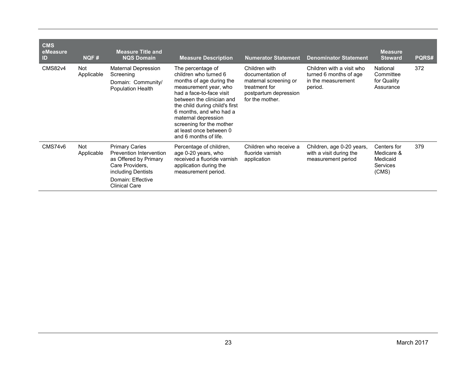| <b>CMS</b><br>eMeasure<br>ID | <b>NQF#</b>       | <b>Measure Title and</b><br><b>NQS Domain</b>                                                                                                                   | <b>Measure Description</b>                                                                                                                                                                                                                                                                                                   | <b>Numerator Statement</b>                                                                                              | <b>Denominator Statement</b>                                                         | <b>Measure</b><br><b>Steward</b>                                  | <b>PQRS#</b> |
|------------------------------|-------------------|-----------------------------------------------------------------------------------------------------------------------------------------------------------------|------------------------------------------------------------------------------------------------------------------------------------------------------------------------------------------------------------------------------------------------------------------------------------------------------------------------------|-------------------------------------------------------------------------------------------------------------------------|--------------------------------------------------------------------------------------|-------------------------------------------------------------------|--------------|
| <b>CMS82v4</b>               | Not<br>Applicable | Maternal Depression<br>Screening<br>Domain: Community/<br>Population Health                                                                                     | The percentage of<br>children who turned 6<br>months of age during the<br>measurement year, who<br>had a face-to-face visit<br>between the clinician and<br>the child during child's first<br>6 months, and who had a<br>maternal depression<br>screening for the mother<br>at least once between 0<br>and 6 months of life. | Children with<br>documentation of<br>maternal screening or<br>treatment for<br>postpartum depression<br>for the mother. | Children with a visit who<br>turned 6 months of age<br>in the measurement<br>period. | National<br>Committee<br>for Quality<br>Assurance                 | 372          |
| <b>CMS74v6</b>               | Not<br>Applicable | <b>Primary Caries</b><br>Prevention Intervention<br>as Offered by Primary<br>Care Providers.<br>including Dentists<br>Domain: Effective<br><b>Clinical Care</b> | Percentage of children,<br>age 0-20 years, who<br>received a fluoride varnish<br>application during the<br>measurement period.                                                                                                                                                                                               | Children who receive a<br>fluoride varnish<br>application                                                               | Children, age 0-20 years,<br>with a visit during the<br>measurement period           | Centers for<br>Medicare &<br>Medicaid<br><b>Services</b><br>(CMS) | 379          |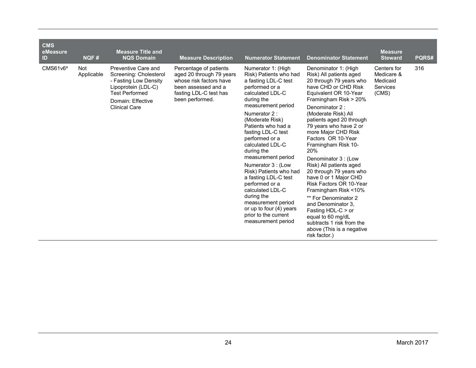| <b>CMS</b><br>eMeasure<br>ID | NQF#                     | <b>Measure Title and</b><br><b>NQS Domain</b>                                                                                                                       | <b>Measure Description</b>                                                                                                                        | <b>Numerator Statement</b>                                                                                                                                                                                                                                                                                                                                                                                                                                                                                                           | <b>Denominator Statement</b>                                                                                                                                                                                                                                                                                                                                                                                                                                                                                                                                                                                                                                   | <b>Measure</b><br><b>Steward</b>                                  | PQRS# |
|------------------------------|--------------------------|---------------------------------------------------------------------------------------------------------------------------------------------------------------------|---------------------------------------------------------------------------------------------------------------------------------------------------|--------------------------------------------------------------------------------------------------------------------------------------------------------------------------------------------------------------------------------------------------------------------------------------------------------------------------------------------------------------------------------------------------------------------------------------------------------------------------------------------------------------------------------------|----------------------------------------------------------------------------------------------------------------------------------------------------------------------------------------------------------------------------------------------------------------------------------------------------------------------------------------------------------------------------------------------------------------------------------------------------------------------------------------------------------------------------------------------------------------------------------------------------------------------------------------------------------------|-------------------------------------------------------------------|-------|
| CMS61v6ª                     | <b>Not</b><br>Applicable | Preventive Care and<br>Screening: Cholesterol<br>- Fasting Low Density<br>Lipoprotein (LDL-C)<br><b>Test Performed</b><br>Domain: Effective<br><b>Clinical Care</b> | Percentage of patients<br>aged 20 through 79 years<br>whose risk factors have<br>been assessed and a<br>fasting LDL-C test has<br>been performed. | Numerator 1: (High<br>Risk) Patients who had<br>a fasting LDL-C test<br>performed or a<br>calculated LDL-C<br>during the<br>measurement period<br>Numerator 2:<br>(Moderate Risk)<br>Patients who had a<br>fasting LDL-C test<br>performed or a<br>calculated LDL-C<br>during the<br>measurement period<br>Numerator 3 : (Low<br>Risk) Patients who had<br>a fasting LDL-C test<br>performed or a<br>calculated LDL-C<br>during the<br>measurement period<br>or up to four $(4)$ years<br>prior to the current<br>measurement period | Denominator 1: (High<br>Risk) All patients aged<br>20 through 79 years who<br>have CHD or CHD Risk<br>Equivalent OR 10-Year<br>Framingham Risk > 20%<br>Denominator 2:<br>(Moderate Risk) All<br>patients aged 20 through<br>79 years who have 2 or<br>more Major CHD Risk<br>Factors OR 10-Year<br>Framingham Risk 10-<br>20%<br>Denominator 3 : (Low<br>Risk) All patients aged<br>20 through 79 years who<br>have 0 or 1 Major CHD<br>Risk Factors OR 10-Year<br>Framingham Risk <10%<br>** For Denominator 2<br>and Denominator 3.<br>Fasting HDL-C $>$ or<br>equal to 60 mg/dL<br>subtracts 1 risk from the<br>above (This is a negative<br>risk factor.) | Centers for<br>Medicare &<br>Medicaid<br><b>Services</b><br>(CMS) | 316   |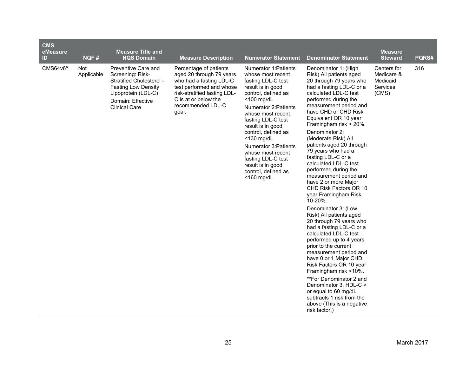| <b>CMS</b><br>eMeasure<br>ID | NQF#                     | <b>Measure Title and</b><br><b>NQS Domain</b>                                                                                                                         | <b>Measure Description</b>                                                                                                                                                                      | <b>Numerator Statement</b>                                                                                                                                                                                                                                                                                                                                                                                 | <b>Denominator Statement</b>                                                                                                                                                                                                                                                                                                                                                                                                                                                                                                                                                                                                                                                                                                                                                                                                                                                                                                                                                                      | <b>Measure</b><br><b>Steward</b>                           | PQRS# |
|------------------------------|--------------------------|-----------------------------------------------------------------------------------------------------------------------------------------------------------------------|-------------------------------------------------------------------------------------------------------------------------------------------------------------------------------------------------|------------------------------------------------------------------------------------------------------------------------------------------------------------------------------------------------------------------------------------------------------------------------------------------------------------------------------------------------------------------------------------------------------------|---------------------------------------------------------------------------------------------------------------------------------------------------------------------------------------------------------------------------------------------------------------------------------------------------------------------------------------------------------------------------------------------------------------------------------------------------------------------------------------------------------------------------------------------------------------------------------------------------------------------------------------------------------------------------------------------------------------------------------------------------------------------------------------------------------------------------------------------------------------------------------------------------------------------------------------------------------------------------------------------------|------------------------------------------------------------|-------|
| CMS64v6ª                     | <b>Not</b><br>Applicable | Preventive Care and<br>Screening: Risk-<br>Stratified Cholesterol -<br><b>Fasting Low Density</b><br>Lipoprotein (LDL-C)<br>Domain: Effective<br><b>Clinical Care</b> | Percentage of patients<br>aged 20 through 79 years<br>who had a fasting LDL-C<br>test performed and whose<br>risk-stratified fasting LDL-<br>C is at or below the<br>recommended LDL-C<br>goal. | Numerator 1: Patients<br>whose most recent<br>fasting LDL-C test<br>result is in good<br>control, defined as<br>$<$ 100 mg/dL<br><b>Numerator 2: Patients</b><br>whose most recent<br>fasting LDL-C test<br>result is in good<br>control, defined as<br><130 mg/dL<br><b>Numerator 3: Patients</b><br>whose most recent<br>fasting LDL-C test<br>result is in good<br>control, defined as<br>$<$ 160 mg/dL | Denominator 1: (High<br>Risk) All patients aged<br>20 through 79 years who<br>had a fasting LDL-C or a<br>calculated LDL-C test<br>performed during the<br>measurement period and<br>have CHD or CHD Risk<br>Equivalent OR 10 year<br>Framingham risk > 20%.<br>Denominator 2:<br>(Moderate Risk) All<br>patients aged 20 through<br>79 years who had a<br>fasting LDL-C or a<br>calculated LDL-C test<br>performed during the<br>measurement period and<br>have 2 or more Major<br>CHD Risk Factors OR 10<br>year Framingham Risk<br>10-20%.<br>Denominator 3: (Low<br>Risk) All patients aged<br>20 through 79 years who<br>had a fasting LDL-C or a<br>calculated LDL-C test<br>performed up to 4 years<br>prior to the current<br>measurement period and<br>have 0 or 1 Major CHD<br>Risk Factors OR 10 year<br>Framingham risk <10%.<br>**For Denominator 2 and<br>Denominator 3, HDL-C ><br>or equal to 60 mg/dL<br>subtracts 1 risk from the<br>above (This is a negative<br>risk factor.) | Centers for<br>Medicare &<br>Medicaid<br>Services<br>(CMS) | 316   |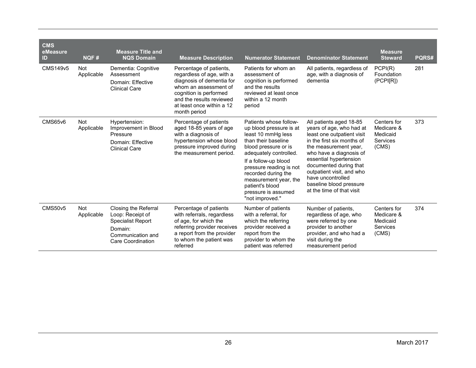| <b>CMS</b><br>eMeasure<br>ID<br><b>CMS149v5</b> | NQF#<br>Not       | <b>Measure Title and</b><br><b>NQS Domain</b><br>Dementia: Cognitive                                                             | <b>Measure Description</b><br>Percentage of patients,                                                                                                                              | <b>Numerator Statement</b><br>Patients for whom an                                                                                                                                                                                                                                                               | <b>Denominator Statement</b><br>All patients, regardless of                                                                                                                                                                                                                                                                       | <b>Measure</b><br><b>Steward</b><br>PCPI(R)                       | PQRS#<br>281 |
|-------------------------------------------------|-------------------|----------------------------------------------------------------------------------------------------------------------------------|------------------------------------------------------------------------------------------------------------------------------------------------------------------------------------|------------------------------------------------------------------------------------------------------------------------------------------------------------------------------------------------------------------------------------------------------------------------------------------------------------------|-----------------------------------------------------------------------------------------------------------------------------------------------------------------------------------------------------------------------------------------------------------------------------------------------------------------------------------|-------------------------------------------------------------------|--------------|
|                                                 | Applicable        | Assessment<br>Domain: Effective<br><b>Clinical Care</b>                                                                          | regardless of age, with a<br>diagnosis of dementia for<br>whom an assessment of<br>cognition is performed<br>and the results reviewed<br>at least once within a 12<br>month period | assessment of<br>cognition is performed<br>and the results<br>reviewed at least once<br>within a 12 month<br>period                                                                                                                                                                                              | age, with a diagnosis of<br>dementia                                                                                                                                                                                                                                                                                              | Foundation<br>(PCP I [R])                                         |              |
| CMS65v6                                         | Not<br>Applicable | Hypertension:<br>Improvement in Blood<br>Pressure<br>Domain: Effective<br><b>Clinical Care</b>                                   | Percentage of patients<br>aged 18-85 years of age<br>with a diagnosis of<br>hypertension whose blood<br>pressure improved during<br>the measurement period.                        | Patients whose follow-<br>up blood pressure is at<br>least 10 mmHg less<br>than their baseline<br>blood pressure or is<br>adequately controlled.<br>If a follow-up blood<br>pressure reading is not<br>recorded during the<br>measurement year, the<br>patient's blood<br>pressure is assumed<br>"not improved." | All patients aged 18-85<br>years of age, who had at<br>least one outpatient visit<br>in the first six months of<br>the measurement year,<br>who have a diagnosis of<br>essential hypertension<br>documented during that<br>outpatient visit, and who<br>have uncontrolled<br>baseline blood pressure<br>at the time of that visit | Centers for<br>Medicare &<br>Medicaid<br>Services<br>(CMS)        | 373          |
| <b>CMS50v5</b>                                  | Not<br>Applicable | Closing the Referral<br>Loop: Receipt of<br><b>Specialist Report</b><br>Domain:<br>Communication and<br><b>Care Coordination</b> | Percentage of patients<br>with referrals, regardless<br>of age, for which the<br>referring provider receives<br>a report from the provider<br>to whom the patient was<br>referred  | Number of patients<br>with a referral, for<br>which the referring<br>provider received a<br>report from the<br>provider to whom the<br>patient was referred                                                                                                                                                      | Number of patients.<br>regardless of age, who<br>were referred by one<br>provider to another<br>provider, and who had a<br>visit during the<br>measurement period                                                                                                                                                                 | Centers for<br>Medicare &<br>Medicaid<br><b>Services</b><br>(CMS) | 374          |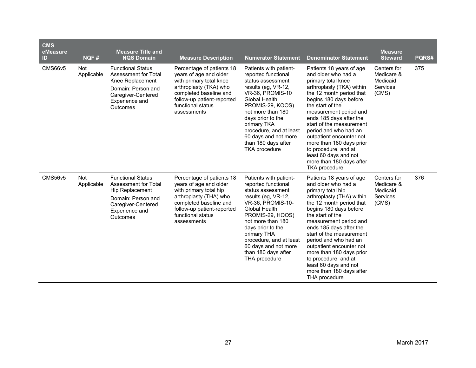| <b>CMS</b><br>eMeasure<br>ID | NQF#                     | <b>Measure Title and</b><br><b>NQS Domain</b>                                                                                                  | <b>Measure Description</b>                                                                                                                                                                           | <b>Numerator Statement</b>                                                                                                                                                                                                                                                                                     | <b>Denominator Statement</b>                                                                                                                                                                                                                                                                                                                                                                                                                        | <b>Measure</b><br><b>Steward</b>                                  | PQRS# |
|------------------------------|--------------------------|------------------------------------------------------------------------------------------------------------------------------------------------|------------------------------------------------------------------------------------------------------------------------------------------------------------------------------------------------------|----------------------------------------------------------------------------------------------------------------------------------------------------------------------------------------------------------------------------------------------------------------------------------------------------------------|-----------------------------------------------------------------------------------------------------------------------------------------------------------------------------------------------------------------------------------------------------------------------------------------------------------------------------------------------------------------------------------------------------------------------------------------------------|-------------------------------------------------------------------|-------|
| <b>CMS66v5</b>               | Not<br>Applicable        | <b>Functional Status</b><br>Assessment for Total<br>Knee Replacement<br>Domain: Person and<br>Caregiver-Centered<br>Experience and<br>Outcomes | Percentage of patients 18<br>years of age and older<br>with primary total knee<br>arthroplasty (TKA) who<br>completed baseline and<br>follow-up patient-reported<br>functional status<br>assessments | Patients with patient-<br>reported functional<br>status assessment<br>results (eg, VR-12,<br>VR-36, PROMIS-10<br>Global Health,<br>PROMIS-29, KOOS)<br>not more than 180<br>days prior to the<br>primary TKA<br>procedure, and at least<br>60 days and not more<br>than 180 days after<br><b>TKA</b> procedure | Patients 18 years of age<br>and older who had a<br>primary total knee<br>arthroplasty (TKA) within<br>the 12 month period that<br>begins 180 days before<br>the start of the<br>measurement period and<br>ends 185 days after the<br>start of the measurement<br>period and who had an<br>outpatient encounter not<br>more than 180 days prior<br>to procedure, and at<br>least 60 days and not<br>more than 180 days after<br><b>TKA</b> procedure | Centers for<br>Medicare &<br>Medicaid<br><b>Services</b><br>(CMS) | 375   |
| <b>CMS56v5</b>               | <b>Not</b><br>Applicable | <b>Functional Status</b><br>Assessment for Total<br>Hip Replacement<br>Domain: Person and<br>Caregiver-Centered<br>Experience and<br>Outcomes  | Percentage of patients 18<br>years of age and older<br>with primary total hip<br>arthroplasty (THA) who<br>completed baseline and<br>follow-up patient-reported<br>functional status<br>assessments  | Patients with patient-<br>reported functional<br>status assessment<br>results (eg, VR-12,<br>VR-36, PROMIS-10-<br>Global Health,<br>PROMIS-29, HOOS)<br>not more than 180<br>days prior to the<br>primary THA<br>procedure, and at least<br>60 days and not more<br>than 180 days after<br>THA procedure       | Patients 18 years of age<br>and older who had a<br>primary total hip<br>arthroplasty (THA) within<br>the 12 month period that<br>begins 180 days before<br>the start of the<br>measurement period and<br>ends 185 days after the<br>start of the measurement<br>period and who had an<br>outpatient encounter not<br>more than 180 days prior<br>to procedure, and at<br>least 60 days and not<br>more than 180 days after<br>THA procedure         | Centers for<br>Medicare &<br>Medicaid<br><b>Services</b><br>(CMS) | 376   |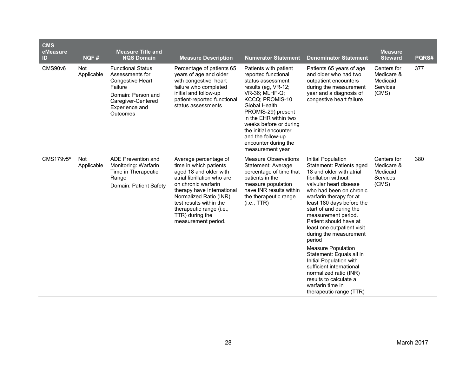| <b>CMS</b><br>eMeasure<br>ID | NQF#                     | <b>Measure Title and</b><br><b>NQS Domain</b>                                                                                                        | <b>Measure Description</b>                                                                                                                                                                                                                                                               | <b>Numerator Statement</b>                                                                                                                                                                                                                                                                                         | <b>Denominator Statement</b>                                                                                                                                                                                                                                                                                                                                                                                                                                                                                                                                                     | <b>Measure</b><br><b>Steward</b>                           | PQRS# |
|------------------------------|--------------------------|------------------------------------------------------------------------------------------------------------------------------------------------------|------------------------------------------------------------------------------------------------------------------------------------------------------------------------------------------------------------------------------------------------------------------------------------------|--------------------------------------------------------------------------------------------------------------------------------------------------------------------------------------------------------------------------------------------------------------------------------------------------------------------|----------------------------------------------------------------------------------------------------------------------------------------------------------------------------------------------------------------------------------------------------------------------------------------------------------------------------------------------------------------------------------------------------------------------------------------------------------------------------------------------------------------------------------------------------------------------------------|------------------------------------------------------------|-------|
| CMS90v6                      | <b>Not</b><br>Applicable | <b>Functional Status</b><br>Assessments for<br>Congestive Heart<br>Failure<br>Domain: Person and<br>Caregiver-Centered<br>Experience and<br>Outcomes | Percentage of patients 65<br>years of age and older<br>with congestive heart<br>failure who completed<br>initial and follow-up<br>patient-reported functional<br>status assessments                                                                                                      | Patients with patient<br>reported functional<br>status assessment<br>results (eg, VR-12;<br>VR-36; MLHF-Q;<br>KCCQ; PROMIS-10<br>Global Health,<br>PROMIS-29) present<br>in the EHR within two<br>weeks before or during<br>the initial encounter<br>and the follow-up<br>encounter during the<br>measurement year | Patients 65 years of age<br>and older who had two<br>outpatient encounters<br>during the measurement<br>year and a diagnosis of<br>congestive heart failure                                                                                                                                                                                                                                                                                                                                                                                                                      | Centers for<br>Medicare &<br>Medicaid<br>Services<br>(CMS) | 377   |
| $CMS179v5^a$                 | <b>Not</b><br>Applicable | ADE Prevention and<br>Monitoring: Warfarin<br>Time in Therapeutic<br>Range<br>Domain: Patient Safety                                                 | Average percentage of<br>time in which patients<br>aged 18 and older with<br>atrial fibrillation who are<br>on chronic warfarin<br>therapy have International<br>Normalized Ratio (INR)<br>test results within the<br>therapeutic range (i.e.,<br>TTR) during the<br>measurement period. | <b>Measure Observations</b><br>Statement: Average<br>percentage of time that<br>patients in the<br>measure population<br>have INR results within<br>the therapeutic range<br>(i.e., TTR)                                                                                                                           | Initial Population<br>Statement: Patients aged<br>18 and older with atrial<br>fibrillation without<br>valvular heart disease<br>who had been on chronic<br>warfarin therapy for at<br>least 180 days before the<br>start of and during the<br>measurement period.<br>Patient should have at<br>least one outpatient visit<br>during the measurement<br>period<br><b>Measure Population</b><br>Statement: Equals all in<br>Initial Population with<br>sufficient international<br>normalized ratio (INR)<br>results to calculate a<br>warfarin time in<br>therapeutic range (TTR) | Centers for<br>Medicare &<br>Medicaid<br>Services<br>(CMS) | 380   |